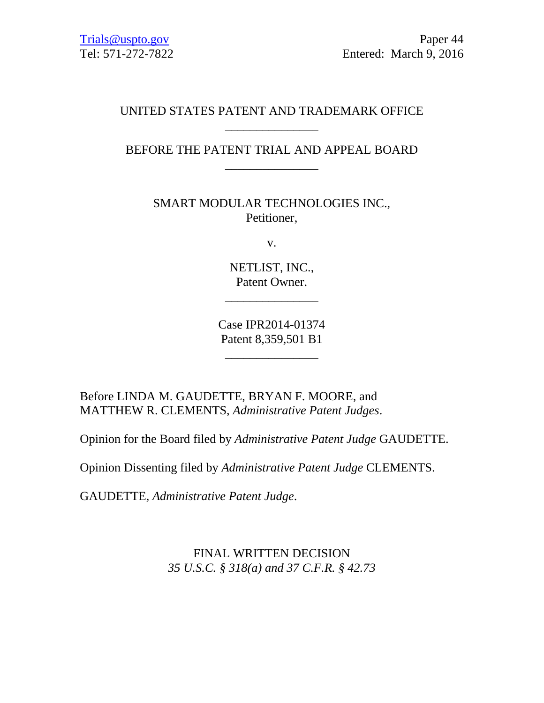# UNITED STATES PATENT AND TRADEMARK OFFICE \_\_\_\_\_\_\_\_\_\_\_\_\_\_\_

# BEFORE THE PATENT TRIAL AND APPEAL BOARD \_\_\_\_\_\_\_\_\_\_\_\_\_\_\_

SMART MODULAR TECHNOLOGIES INC., Petitioner,

v.

NETLIST, INC., Patent Owner.

\_\_\_\_\_\_\_\_\_\_\_\_\_\_\_

Case IPR2014-01374 Patent 8,359,501 B1

\_\_\_\_\_\_\_\_\_\_\_\_\_\_\_

Before LINDA M. GAUDETTE, BRYAN F. MOORE, and MATTHEW R. CLEMENTS, *Administrative Patent Judges*.

Opinion for the Board filed by *Administrative Patent Judge* GAUDETTE.

Opinion Dissenting filed by *Administrative Patent Judge* CLEMENTS.

GAUDETTE, *Administrative Patent Judge*.

FINAL WRITTEN DECISION *35 U.S.C. § 318(a) and 37 C.F.R. § 42.73*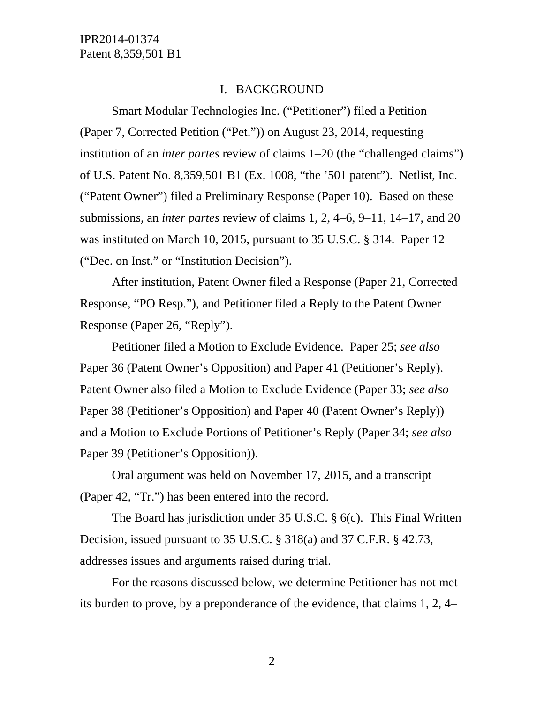#### I. BACKGROUND

Smart Modular Technologies Inc. ("Petitioner") filed a Petition (Paper 7, Corrected Petition ("Pet.")) on August 23, 2014, requesting institution of an *inter partes* review of claims 1–20 (the "challenged claims") of U.S. Patent No. 8,359,501 B1 (Ex. 1008, "the '501 patent"). Netlist, Inc. ("Patent Owner") filed a Preliminary Response (Paper 10). Based on these submissions, an *inter partes* review of claims 1, 2, 4–6, 9–11, 14–17, and 20 was instituted on March 10, 2015, pursuant to 35 U.S.C. § 314. Paper 12 ("Dec. on Inst." or "Institution Decision").

After institution, Patent Owner filed a Response (Paper 21, Corrected Response, "PO Resp."), and Petitioner filed a Reply to the Patent Owner Response (Paper 26, "Reply").

Petitioner filed a Motion to Exclude Evidence. Paper 25; *see also* Paper 36 (Patent Owner's Opposition) and Paper 41 (Petitioner's Reply). Patent Owner also filed a Motion to Exclude Evidence (Paper 33; *see also* Paper 38 (Petitioner's Opposition) and Paper 40 (Patent Owner's Reply)) and a Motion to Exclude Portions of Petitioner's Reply (Paper 34; *see also* Paper 39 (Petitioner's Opposition)).

Oral argument was held on November 17, 2015, and a transcript (Paper 42, "Tr.") has been entered into the record.

The Board has jurisdiction under 35 U.S.C. § 6(c). This Final Written Decision, issued pursuant to 35 U.S.C. § 318(a) and 37 C.F.R. § 42.73, addresses issues and arguments raised during trial.

For the reasons discussed below, we determine Petitioner has not met its burden to prove, by a preponderance of the evidence, that claims 1, 2, 4–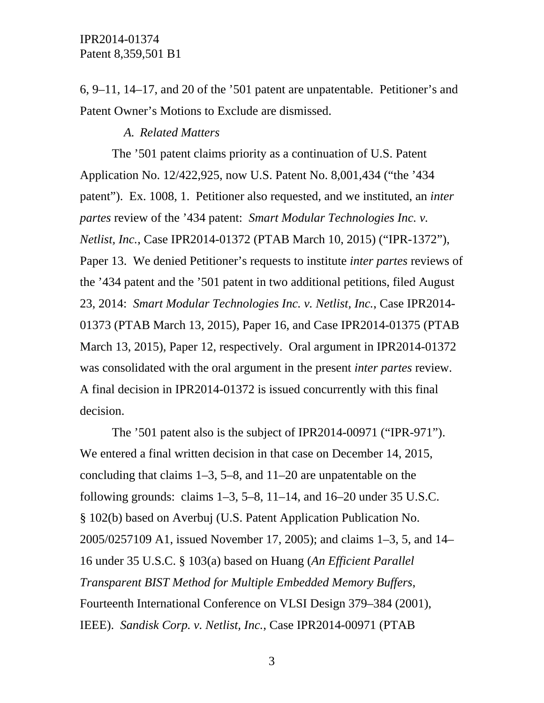6, 9–11, 14–17, and 20 of the '501 patent are unpatentable. Petitioner's and Patent Owner's Motions to Exclude are dismissed.

#### *A. Related Matters*

The '501 patent claims priority as a continuation of U.S. Patent Application No. 12/422,925, now U.S. Patent No. 8,001,434 ("the '434 patent"). Ex. 1008, 1. Petitioner also requested, and we instituted, an *inter partes* review of the '434 patent: *Smart Modular Technologies Inc. v. Netlist, Inc.*, Case IPR2014-01372 (PTAB March 10, 2015) ("IPR-1372"), Paper 13. We denied Petitioner's requests to institute *inter partes* reviews of the '434 patent and the '501 patent in two additional petitions, filed August 23, 2014: *Smart Modular Technologies Inc. v. Netlist, Inc.*, Case IPR2014- 01373 (PTAB March 13, 2015), Paper 16, and Case IPR2014-01375 (PTAB March 13, 2015), Paper 12, respectively. Oral argument in IPR2014-01372 was consolidated with the oral argument in the present *inter partes* review. A final decision in IPR2014-01372 is issued concurrently with this final decision.

The '501 patent also is the subject of IPR2014-00971 ("IPR-971"). We entered a final written decision in that case on December 14, 2015, concluding that claims 1–3, 5–8, and 11–20 are unpatentable on the following grounds: claims  $1-3$ ,  $5-8$ ,  $11-14$ , and  $16-20$  under 35 U.S.C. § 102(b) based on Averbuj (U.S. Patent Application Publication No. 2005/0257109 A1, issued November 17, 2005); and claims 1–3, 5, and 14– 16 under 35 U.S.C. § 103(a) based on Huang (*An Efficient Parallel Transparent BIST Method for Multiple Embedded Memory Buffers*, Fourteenth International Conference on VLSI Design 379–384 (2001), IEEE). *Sandisk Corp. v. Netlist, Inc.*, Case IPR2014-00971 (PTAB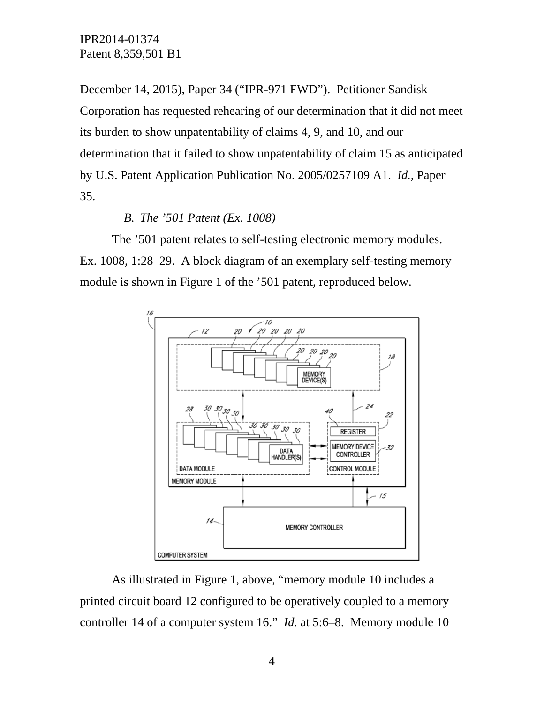December 14, 2015), Paper 34 ("IPR-971 FWD"). Petitioner Sandisk Corporation has requested rehearing of our determination that it did not meet its burden to show unpatentability of claims 4, 9, and 10, and our determination that it failed to show unpatentability of claim 15 as anticipated by U.S. Patent Application Publication No. 2005/0257109 A1. *Id.*, Paper 35.

#### *B. The '501 Patent (Ex. 1008)*

The '501 patent relates to self-testing electronic memory modules. Ex. 1008, 1:28–29. A block diagram of an exemplary self-testing memory module is shown in Figure 1 of the '501 patent, reproduced below.



As illustrated in Figure 1, above, "memory module 10 includes a printed circuit board 12 configured to be operatively coupled to a memory controller 14 of a computer system 16." *Id.* at 5:6–8. Memory module 10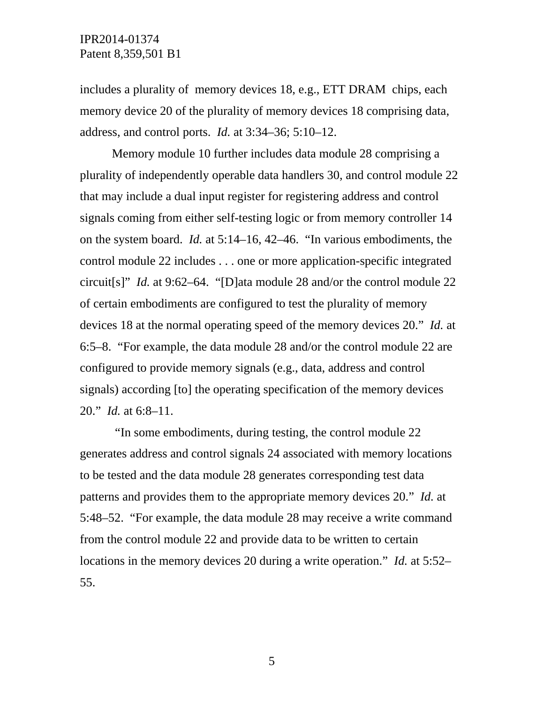includes a plurality of memory devices 18, e.g., ETT DRAM chips, each memory device 20 of the plurality of memory devices 18 comprising data, address, and control ports. *Id.* at 3:34–36; 5:10–12.

Memory module 10 further includes data module 28 comprising a plurality of independently operable data handlers 30, and control module 22 that may include a dual input register for registering address and control signals coming from either self-testing logic or from memory controller 14 on the system board. *Id.* at 5:14–16, 42–46. "In various embodiments, the control module 22 includes . . . one or more application-specific integrated circuit[s]" *Id.* at 9:62–64. "[D]ata module 28 and/or the control module 22 of certain embodiments are configured to test the plurality of memory devices 18 at the normal operating speed of the memory devices 20." *Id.* at 6:5–8. "For example, the data module 28 and/or the control module 22 are configured to provide memory signals (e.g., data, address and control signals) according [to] the operating specification of the memory devices 20." *Id.* at 6:8–11.

 "In some embodiments, during testing, the control module 22 generates address and control signals 24 associated with memory locations to be tested and the data module 28 generates corresponding test data patterns and provides them to the appropriate memory devices 20." *Id.* at 5:48–52. "For example, the data module 28 may receive a write command from the control module 22 and provide data to be written to certain locations in the memory devices 20 during a write operation." *Id.* at 5:52– 55.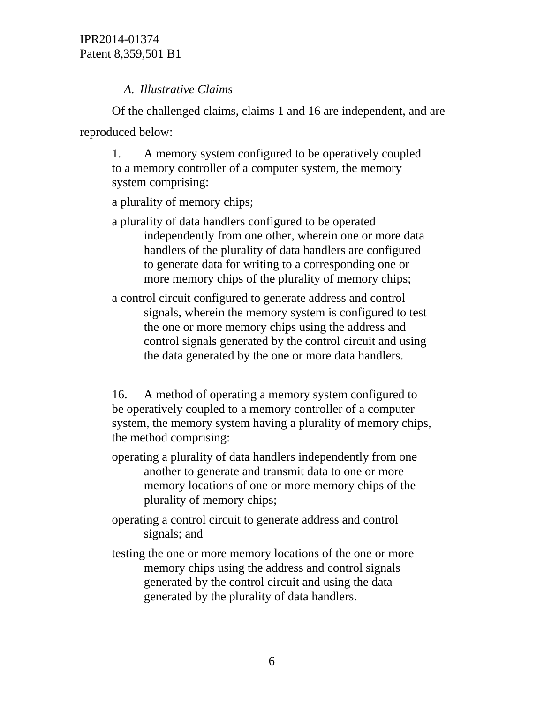# *A. Illustrative Claims*

Of the challenged claims, claims 1 and 16 are independent, and are reproduced below:

1. A memory system configured to be operatively coupled to a memory controller of a computer system, the memory system comprising:

a plurality of memory chips;

- a plurality of data handlers configured to be operated independently from one other, wherein one or more data handlers of the plurality of data handlers are configured to generate data for writing to a corresponding one or more memory chips of the plurality of memory chips;
- a control circuit configured to generate address and control signals, wherein the memory system is configured to test the one or more memory chips using the address and control signals generated by the control circuit and using the data generated by the one or more data handlers.

16. A method of operating a memory system configured to be operatively coupled to a memory controller of a computer system, the memory system having a plurality of memory chips, the method comprising:

- operating a plurality of data handlers independently from one another to generate and transmit data to one or more memory locations of one or more memory chips of the plurality of memory chips;
- operating a control circuit to generate address and control signals; and
- testing the one or more memory locations of the one or more memory chips using the address and control signals generated by the control circuit and using the data generated by the plurality of data handlers.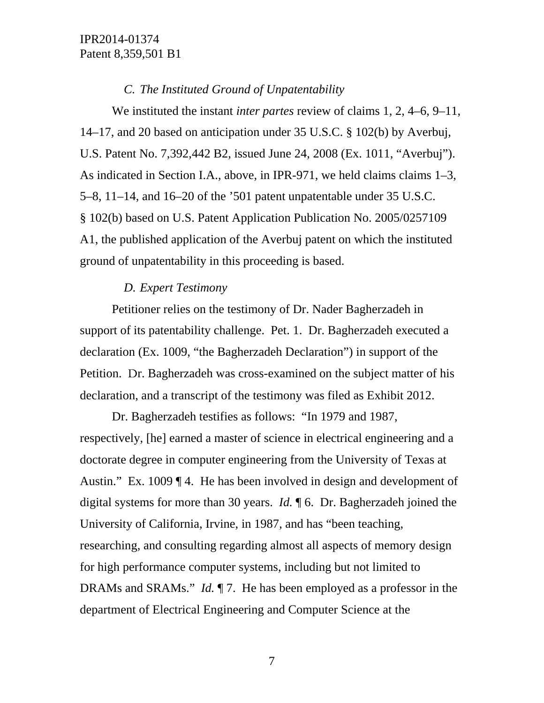# *C. The Instituted Ground of Unpatentability*

We instituted the instant *inter partes* review of claims 1, 2, 4–6, 9–11, 14–17, and 20 based on anticipation under 35 U.S.C. § 102(b) by Averbuj, U.S. Patent No. 7,392,442 B2, issued June 24, 2008 (Ex. 1011, "Averbuj"). As indicated in Section I.A., above, in IPR-971, we held claims claims 1–3, 5–8, 11–14, and 16–20 of the '501 patent unpatentable under 35 U.S.C. § 102(b) based on U.S. Patent Application Publication No. 2005/0257109 A1, the published application of the Averbuj patent on which the instituted ground of unpatentability in this proceeding is based.

#### *D. Expert Testimony*

Petitioner relies on the testimony of Dr. Nader Bagherzadeh in support of its patentability challenge. Pet. 1. Dr. Bagherzadeh executed a declaration (Ex. 1009, "the Bagherzadeh Declaration") in support of the Petition. Dr. Bagherzadeh was cross-examined on the subject matter of his declaration, and a transcript of the testimony was filed as Exhibit 2012.

Dr. Bagherzadeh testifies as follows: "In 1979 and 1987, respectively, [he] earned a master of science in electrical engineering and a doctorate degree in computer engineering from the University of Texas at Austin." Ex. 1009 ¶ 4. He has been involved in design and development of digital systems for more than 30 years. *Id.* ¶ 6. Dr. Bagherzadeh joined the University of California, Irvine, in 1987, and has "been teaching, researching, and consulting regarding almost all aspects of memory design for high performance computer systems, including but not limited to DRAMs and SRAMs." *Id.* ¶ 7. He has been employed as a professor in the department of Electrical Engineering and Computer Science at the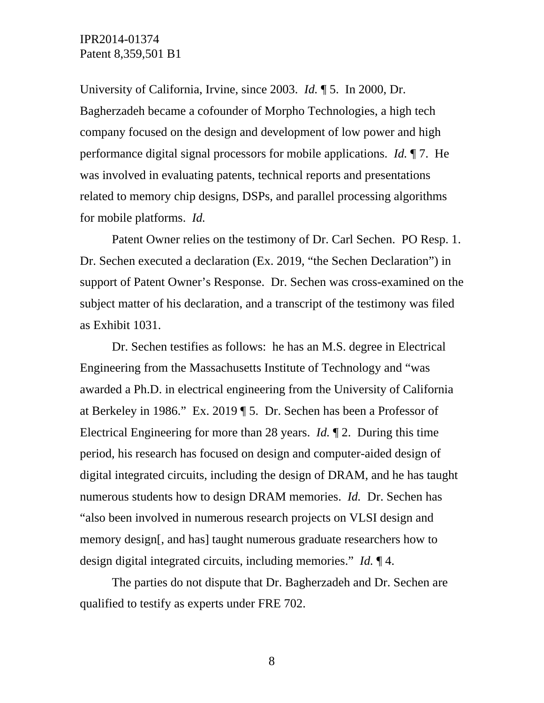University of California, Irvine, since 2003. *Id.* ¶ 5. In 2000, Dr. Bagherzadeh became a cofounder of Morpho Technologies, a high tech company focused on the design and development of low power and high performance digital signal processors for mobile applications. *Id.* ¶ 7. He was involved in evaluating patents, technical reports and presentations related to memory chip designs, DSPs, and parallel processing algorithms for mobile platforms. *Id.* 

Patent Owner relies on the testimony of Dr. Carl Sechen. PO Resp. 1. Dr. Sechen executed a declaration (Ex. 2019, "the Sechen Declaration") in support of Patent Owner's Response. Dr. Sechen was cross-examined on the subject matter of his declaration, and a transcript of the testimony was filed as Exhibit 1031.

Dr. Sechen testifies as follows: he has an M.S. degree in Electrical Engineering from the Massachusetts Institute of Technology and "was awarded a Ph.D. in electrical engineering from the University of California at Berkeley in 1986." Ex. 2019 ¶ 5. Dr. Sechen has been a Professor of Electrical Engineering for more than 28 years. *Id.* ¶ 2. During this time period, his research has focused on design and computer-aided design of digital integrated circuits, including the design of DRAM, and he has taught numerous students how to design DRAM memories. *Id.* Dr. Sechen has "also been involved in numerous research projects on VLSI design and memory design[, and has] taught numerous graduate researchers how to design digital integrated circuits, including memories." *Id.* ¶ 4.

The parties do not dispute that Dr. Bagherzadeh and Dr. Sechen are qualified to testify as experts under FRE 702.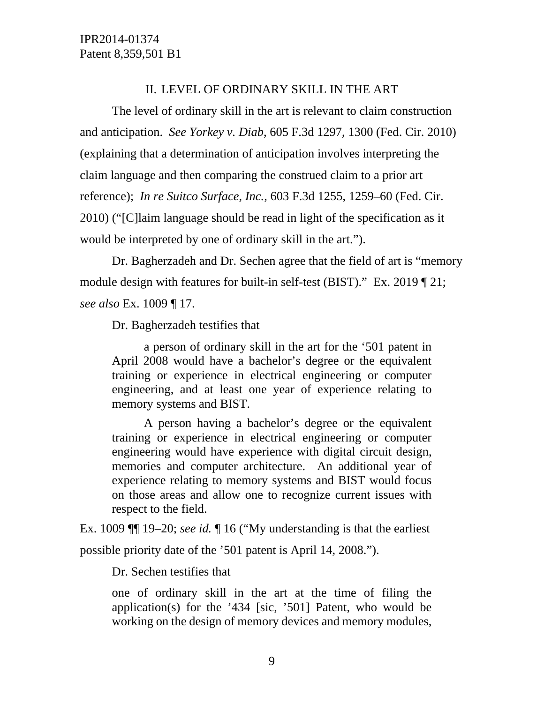#### II. LEVEL OF ORDINARY SKILL IN THE ART

The level of ordinary skill in the art is relevant to claim construction and anticipation. *See Yorkey v. Diab*, 605 F.3d 1297, 1300 (Fed. Cir. 2010) (explaining that a determination of anticipation involves interpreting the claim language and then comparing the construed claim to a prior art reference); *In re Suitco Surface, Inc.*, 603 F.3d 1255, 1259–60 (Fed. Cir. 2010) ("[C]laim language should be read in light of the specification as it would be interpreted by one of ordinary skill in the art.").

Dr. Bagherzadeh and Dr. Sechen agree that the field of art is "memory module design with features for built-in self-test (BIST)." Ex. 2019 ¶ 21; *see also* Ex. 1009 ¶ 17.

Dr. Bagherzadeh testifies that

a person of ordinary skill in the art for the '501 patent in April 2008 would have a bachelor's degree or the equivalent training or experience in electrical engineering or computer engineering, and at least one year of experience relating to memory systems and BIST.

A person having a bachelor's degree or the equivalent training or experience in electrical engineering or computer engineering would have experience with digital circuit design, memories and computer architecture. An additional year of experience relating to memory systems and BIST would focus on those areas and allow one to recognize current issues with respect to the field.

Ex. 1009 ¶¶ 19–20; *see id.* ¶ 16 ("My understanding is that the earliest possible priority date of the '501 patent is April 14, 2008.").

Dr. Sechen testifies that

one of ordinary skill in the art at the time of filing the application(s) for the '434 [sic, '501] Patent, who would be working on the design of memory devices and memory modules,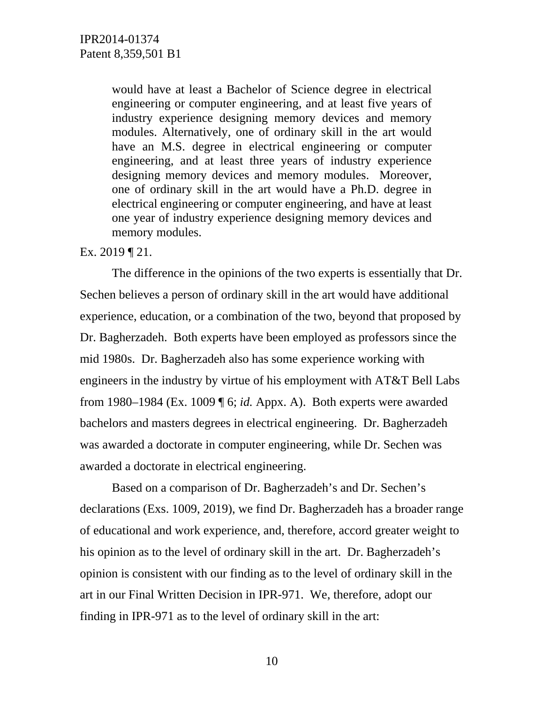would have at least a Bachelor of Science degree in electrical engineering or computer engineering, and at least five years of industry experience designing memory devices and memory modules. Alternatively, one of ordinary skill in the art would have an M.S. degree in electrical engineering or computer engineering, and at least three years of industry experience designing memory devices and memory modules. Moreover, one of ordinary skill in the art would have a Ph.D. degree in electrical engineering or computer engineering, and have at least one year of industry experience designing memory devices and memory modules.

#### Ex. 2019 ¶ 21.

 The difference in the opinions of the two experts is essentially that Dr. Sechen believes a person of ordinary skill in the art would have additional experience, education, or a combination of the two, beyond that proposed by Dr. Bagherzadeh. Both experts have been employed as professors since the mid 1980s. Dr. Bagherzadeh also has some experience working with engineers in the industry by virtue of his employment with AT&T Bell Labs from 1980–1984 (Ex. 1009 ¶ 6; *id.* Appx. A). Both experts were awarded bachelors and masters degrees in electrical engineering. Dr. Bagherzadeh was awarded a doctorate in computer engineering, while Dr. Sechen was awarded a doctorate in electrical engineering.

Based on a comparison of Dr. Bagherzadeh's and Dr. Sechen's declarations (Exs. 1009, 2019), we find Dr. Bagherzadeh has a broader range of educational and work experience, and, therefore, accord greater weight to his opinion as to the level of ordinary skill in the art. Dr. Bagherzadeh's opinion is consistent with our finding as to the level of ordinary skill in the art in our Final Written Decision in IPR-971. We, therefore, adopt our finding in IPR-971 as to the level of ordinary skill in the art: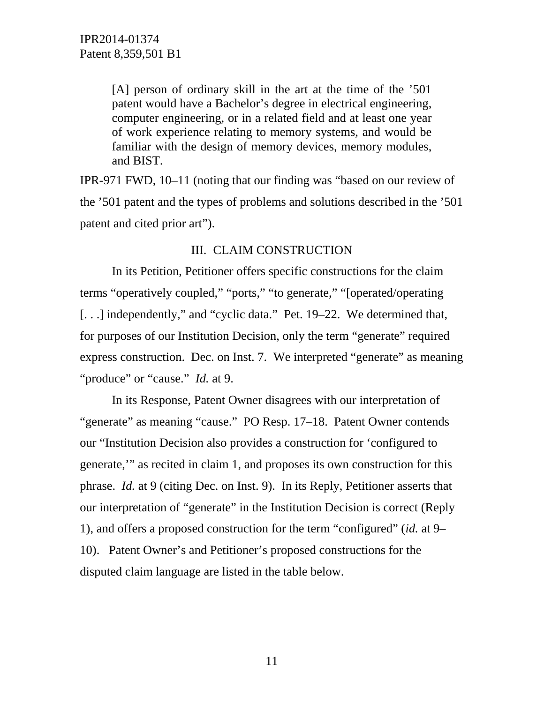[A] person of ordinary skill in the art at the time of the '501 patent would have a Bachelor's degree in electrical engineering, computer engineering, or in a related field and at least one year of work experience relating to memory systems, and would be familiar with the design of memory devices, memory modules, and BIST.

IPR-971 FWD, 10–11 (noting that our finding was "based on our review of the '501 patent and the types of problems and solutions described in the '501 patent and cited prior art").

#### III. CLAIM CONSTRUCTION

In its Petition, Petitioner offers specific constructions for the claim terms "operatively coupled," "ports," "to generate," "[operated/operating [...] independently," and "cyclic data." Pet. 19–22. We determined that, for purposes of our Institution Decision, only the term "generate" required express construction. Dec. on Inst. 7. We interpreted "generate" as meaning "produce" or "cause." *Id.* at 9.

In its Response, Patent Owner disagrees with our interpretation of "generate" as meaning "cause." PO Resp. 17–18. Patent Owner contends our "Institution Decision also provides a construction for 'configured to generate,'" as recited in claim 1, and proposes its own construction for this phrase. *Id.* at 9 (citing Dec. on Inst. 9). In its Reply, Petitioner asserts that our interpretation of "generate" in the Institution Decision is correct (Reply 1), and offers a proposed construction for the term "configured" (*id.* at 9– 10). Patent Owner's and Petitioner's proposed constructions for the disputed claim language are listed in the table below.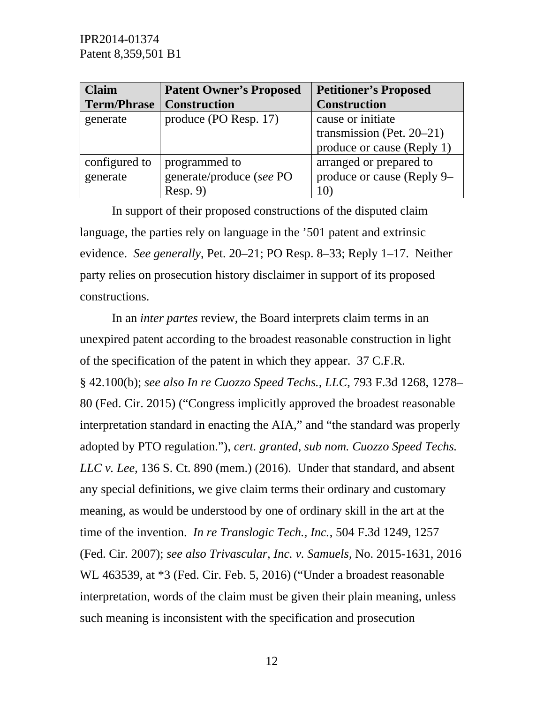| <b>Claim</b>       | <b>Patent Owner's Proposed</b> | <b>Petitioner's Proposed</b> |
|--------------------|--------------------------------|------------------------------|
| <b>Term/Phrase</b> | <b>Construction</b>            | <b>Construction</b>          |
| generate           | produce (PO Resp. 17)          | cause or initiate            |
|                    |                                | transmission (Pet. $20-21$ ) |
|                    |                                | produce or cause (Reply 1)   |
| configured to      | programmed to                  | arranged or prepared to      |
| generate           | generate/produce (see PO       | produce or cause (Reply 9–   |
|                    | Resp. 9                        | $10^{\circ}$                 |

In support of their proposed constructions of the disputed claim language, the parties rely on language in the '501 patent and extrinsic evidence. *See generally*, Pet. 20–21; PO Resp. 8–33; Reply 1–17. Neither party relies on prosecution history disclaimer in support of its proposed constructions.

In an *inter partes* review, the Board interprets claim terms in an unexpired patent according to the broadest reasonable construction in light of the specification of the patent in which they appear. 37 C.F.R. § 42.100(b); *see also In re Cuozzo Speed Techs., LLC*, 793 F.3d 1268, 1278– 80 (Fed. Cir. 2015) ("Congress implicitly approved the broadest reasonable interpretation standard in enacting the AIA," and "the standard was properly adopted by PTO regulation."), *cert. granted*, *sub nom. Cuozzo Speed Techs. LLC v. Lee*, 136 S. Ct. 890 (mem.) (2016). Under that standard, and absent any special definitions, we give claim terms their ordinary and customary meaning, as would be understood by one of ordinary skill in the art at the time of the invention. *In re Translogic Tech., Inc.*, 504 F.3d 1249, 1257 (Fed. Cir. 2007); *see also Trivascular, Inc. v. Samuels*, No. 2015-1631, 2016 WL 463539, at \*3 (Fed. Cir. Feb. 5, 2016) ("Under a broadest reasonable interpretation, words of the claim must be given their plain meaning, unless such meaning is inconsistent with the specification and prosecution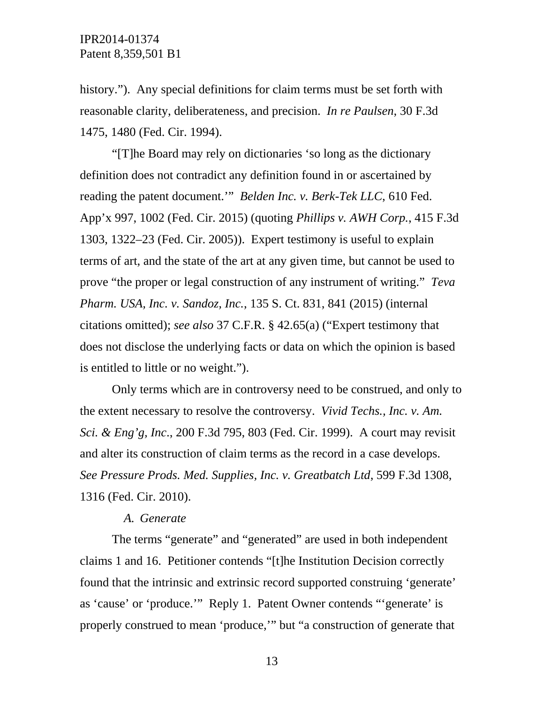history."). Any special definitions for claim terms must be set forth with reasonable clarity, deliberateness, and precision. *In re Paulsen*, 30 F.3d 1475, 1480 (Fed. Cir. 1994).

"[T]he Board may rely on dictionaries 'so long as the dictionary definition does not contradict any definition found in or ascertained by reading the patent document.'" *Belden Inc. v. Berk-Tek LLC*, 610 Fed. App'x 997, 1002 (Fed. Cir. 2015) (quoting *Phillips v. AWH Corp.*, 415 F.3d 1303, 1322–23 (Fed. Cir. 2005)). Expert testimony is useful to explain terms of art, and the state of the art at any given time, but cannot be used to prove "the proper or legal construction of any instrument of writing." *Teva Pharm. USA, Inc. v. Sandoz, Inc.*, 135 S. Ct. 831, 841 (2015) (internal citations omitted); *see also* 37 C.F.R. § 42.65(a) ("Expert testimony that does not disclose the underlying facts or data on which the opinion is based is entitled to little or no weight.").

Only terms which are in controversy need to be construed, and only to the extent necessary to resolve the controversy. *Vivid Techs., Inc. v. Am. Sci. & Eng'g, Inc*., 200 F.3d 795, 803 (Fed. Cir. 1999). A court may revisit and alter its construction of claim terms as the record in a case develops. *See Pressure Prods. Med. Supplies, Inc. v. Greatbatch Ltd*, 599 F.3d 1308, 1316 (Fed. Cir. 2010).

#### *A. Generate*

The terms "generate" and "generated" are used in both independent claims 1 and 16. Petitioner contends "[t]he Institution Decision correctly found that the intrinsic and extrinsic record supported construing 'generate' as 'cause' or 'produce.'" Reply 1. Patent Owner contends "'generate' is properly construed to mean 'produce,'" but "a construction of generate that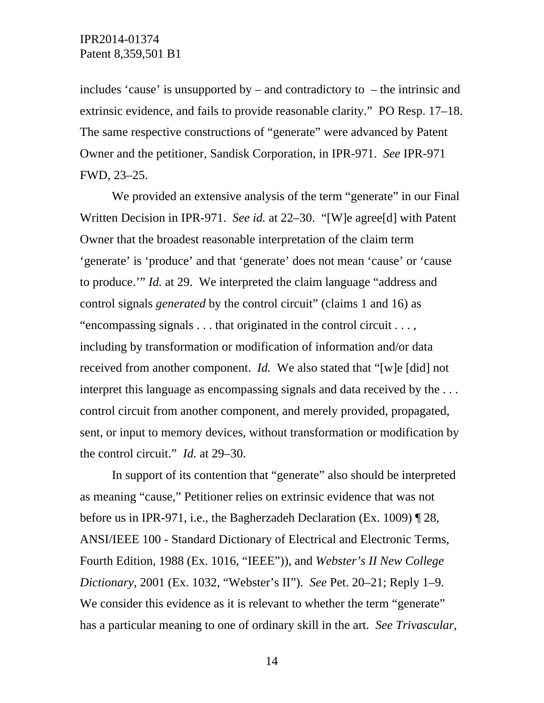includes 'cause' is unsupported by – and contradictory to – the intrinsic and extrinsic evidence, and fails to provide reasonable clarity." PO Resp. 17–18. The same respective constructions of "generate" were advanced by Patent Owner and the petitioner, Sandisk Corporation, in IPR-971. *See* IPR-971 FWD, 23–25.

We provided an extensive analysis of the term "generate" in our Final Written Decision in IPR-971. *See id.* at 22–30. "[W]e agree[d] with Patent Owner that the broadest reasonable interpretation of the claim term 'generate' is 'produce' and that 'generate' does not mean 'cause' or 'cause to produce.'" *Id.* at 29. We interpreted the claim language "address and control signals *generated* by the control circuit" (claims 1 and 16) as "encompassing signals . . . that originated in the control circuit . . . , including by transformation or modification of information and/or data received from another component. *Id.* We also stated that "[w]e [did] not interpret this language as encompassing signals and data received by the . . . control circuit from another component, and merely provided, propagated, sent, or input to memory devices, without transformation or modification by the control circuit." *Id.* at 29–30.

In support of its contention that "generate" also should be interpreted as meaning "cause," Petitioner relies on extrinsic evidence that was not before us in IPR-971, i.e., the Bagherzadeh Declaration (Ex. 1009) ¶ 28, ANSI/IEEE 100 - Standard Dictionary of Electrical and Electronic Terms, Fourth Edition, 1988 (Ex. 1016, "IEEE")), and *Webster's II New College Dictionary*, 2001 (Ex. 1032, "Webster's II"). *See* Pet. 20–21; Reply 1–9. We consider this evidence as it is relevant to whether the term "generate" has a particular meaning to one of ordinary skill in the art. *See Trivascular*,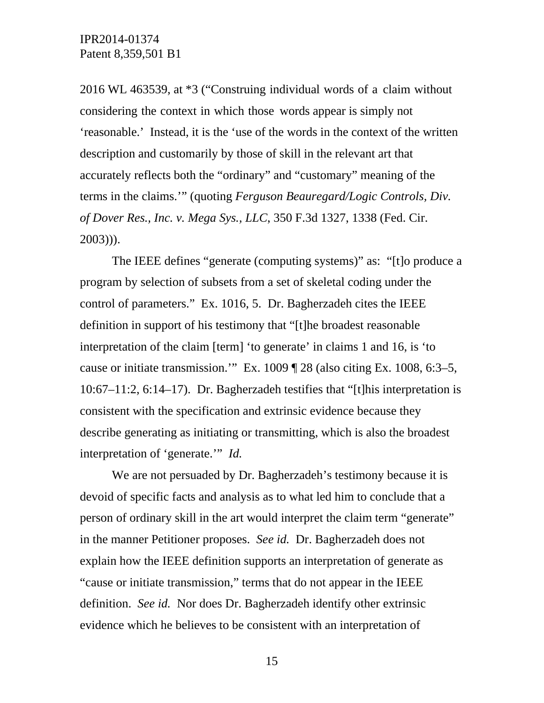2016 WL 463539, at \*3 ("Construing individual words of a claim without considering the context in which those words appear is simply not 'reasonable.' Instead, it is the 'use of the words in the context of the written description and customarily by those of skill in the relevant art that accurately reflects both the "ordinary" and "customary" meaning of the terms in the claims.'" (quoting *Ferguson Beauregard/Logic Controls, Div. of Dover Res., Inc. v. Mega Sys., LLC*, 350 F.3d 1327, 1338 (Fed. Cir. 2003))).

The IEEE defines "generate (computing systems)" as: "[t]o produce a program by selection of subsets from a set of skeletal coding under the control of parameters." Ex. 1016, 5. Dr. Bagherzadeh cites the IEEE definition in support of his testimony that "[t]he broadest reasonable interpretation of the claim [term] 'to generate' in claims 1 and 16, is 'to cause or initiate transmission.'" Ex. 1009 ¶ 28 (also citing Ex. 1008, 6:3–5, 10:67–11:2, 6:14–17). Dr. Bagherzadeh testifies that "[t]his interpretation is consistent with the specification and extrinsic evidence because they describe generating as initiating or transmitting, which is also the broadest interpretation of 'generate.'" *Id.* 

We are not persuaded by Dr. Bagherzadeh's testimony because it is devoid of specific facts and analysis as to what led him to conclude that a person of ordinary skill in the art would interpret the claim term "generate" in the manner Petitioner proposes. *See id.* Dr. Bagherzadeh does not explain how the IEEE definition supports an interpretation of generate as "cause or initiate transmission," terms that do not appear in the IEEE definition. *See id.* Nor does Dr. Bagherzadeh identify other extrinsic evidence which he believes to be consistent with an interpretation of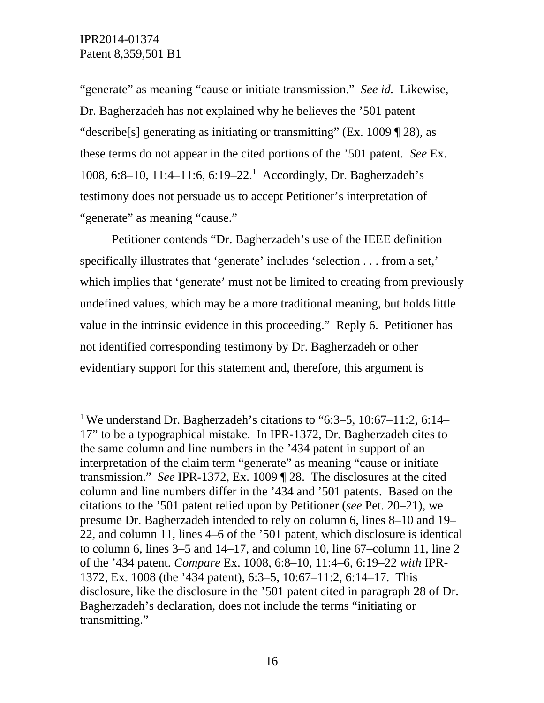-

"generate" as meaning "cause or initiate transmission." *See id.* Likewise, Dr. Bagherzadeh has not explained why he believes the '501 patent "describe[s] generating as initiating or transmitting" (Ex. 1009 ¶ 28), as these terms do not appear in the cited portions of the '501 patent. *See* Ex. 1008, 6:8-10, 11:4-11:6, 6:19-22.<sup>1</sup> Accordingly, Dr. Bagherzadeh's testimony does not persuade us to accept Petitioner's interpretation of "generate" as meaning "cause."

Petitioner contends "Dr. Bagherzadeh's use of the IEEE definition specifically illustrates that 'generate' includes 'selection . . . from a set,' which implies that 'generate' must not be limited to creating from previously undefined values, which may be a more traditional meaning, but holds little value in the intrinsic evidence in this proceeding." Reply 6. Petitioner has not identified corresponding testimony by Dr. Bagherzadeh or other evidentiary support for this statement and, therefore, this argument is

<sup>1</sup> We understand Dr. Bagherzadeh's citations to "6:3–5, 10:67–11:2, 6:14– 17" to be a typographical mistake. In IPR-1372, Dr. Bagherzadeh cites to the same column and line numbers in the '434 patent in support of an interpretation of the claim term "generate" as meaning "cause or initiate transmission." *See* IPR-1372, Ex. 1009 ¶ 28. The disclosures at the cited column and line numbers differ in the '434 and '501 patents. Based on the citations to the '501 patent relied upon by Petitioner (*see* Pet. 20–21), we presume Dr. Bagherzadeh intended to rely on column 6, lines 8–10 and 19– 22, and column 11, lines 4–6 of the '501 patent, which disclosure is identical to column 6, lines 3–5 and 14–17, and column 10, line 67–column 11, line 2 of the '434 patent. *Compare* Ex. 1008, 6:8–10, 11:4–6, 6:19–22 *with* IPR-1372, Ex. 1008 (the '434 patent), 6:3–5, 10:67–11:2, 6:14–17. This disclosure, like the disclosure in the '501 patent cited in paragraph 28 of Dr. Bagherzadeh's declaration, does not include the terms "initiating or transmitting."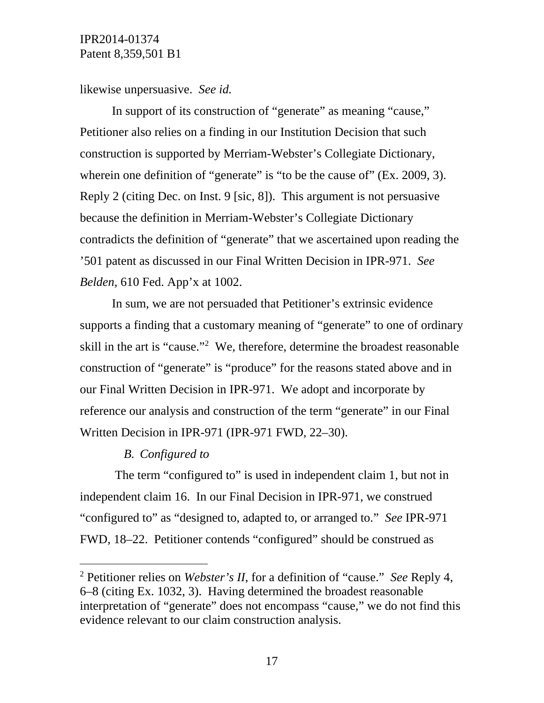likewise unpersuasive. *See id.* 

In support of its construction of "generate" as meaning "cause," Petitioner also relies on a finding in our Institution Decision that such construction is supported by Merriam-Webster's Collegiate Dictionary, wherein one definition of "generate" is "to be the cause of" (Ex. 2009, 3). Reply 2 (citing Dec. on Inst. 9 [sic, 8]). This argument is not persuasive because the definition in Merriam-Webster's Collegiate Dictionary contradicts the definition of "generate" that we ascertained upon reading the '501 patent as discussed in our Final Written Decision in IPR-971. *See Belden*, 610 Fed. App'x at 1002.

In sum, we are not persuaded that Petitioner's extrinsic evidence supports a finding that a customary meaning of "generate" to one of ordinary skill in the art is "cause."2 We, therefore, determine the broadest reasonable construction of "generate" is "produce" for the reasons stated above and in our Final Written Decision in IPR-971. We adopt and incorporate by reference our analysis and construction of the term "generate" in our Final Written Decision in IPR-971 (IPR-971 FWD, 22–30).

#### *B. Configured to*

 $\overline{a}$ 

The term "configured to" is used in independent claim 1, but not in independent claim 16. In our Final Decision in IPR-971, we construed "configured to" as "designed to, adapted to, or arranged to." *See* IPR-971 FWD, 18–22. Petitioner contends "configured" should be construed as

<sup>2</sup> Petitioner relies on *Webster's II*, for a definition of "cause." *See* Reply 4, 6–8 (citing Ex. 1032, 3). Having determined the broadest reasonable interpretation of "generate" does not encompass "cause," we do not find this evidence relevant to our claim construction analysis.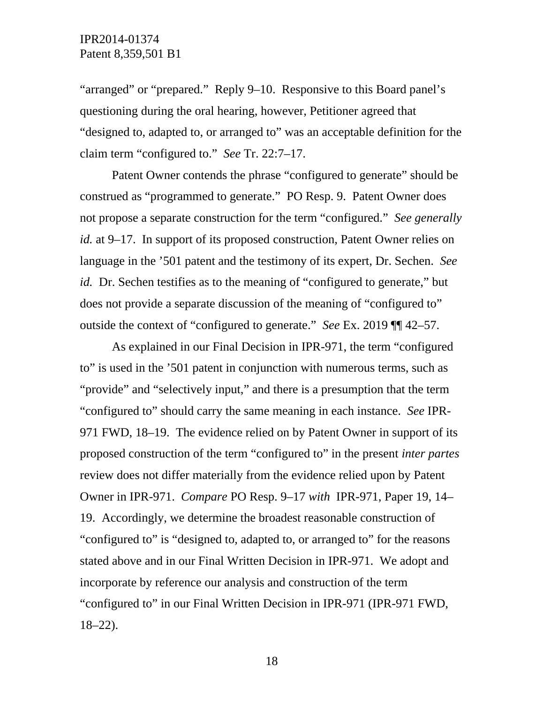"arranged" or "prepared." Reply 9–10. Responsive to this Board panel's questioning during the oral hearing, however, Petitioner agreed that "designed to, adapted to, or arranged to" was an acceptable definition for the claim term "configured to." *See* Tr. 22:7–17.

Patent Owner contends the phrase "configured to generate" should be construed as "programmed to generate." PO Resp. 9. Patent Owner does not propose a separate construction for the term "configured." *See generally id.* at 9–17. In support of its proposed construction, Patent Owner relies on language in the '501 patent and the testimony of its expert, Dr. Sechen. *See id.* Dr. Sechen testifies as to the meaning of "configured to generate," but does not provide a separate discussion of the meaning of "configured to" outside the context of "configured to generate." *See* Ex. 2019 ¶¶ 42–57.

As explained in our Final Decision in IPR-971, the term "configured to" is used in the '501 patent in conjunction with numerous terms, such as "provide" and "selectively input," and there is a presumption that the term "configured to" should carry the same meaning in each instance. *See* IPR-971 FWD, 18–19. The evidence relied on by Patent Owner in support of its proposed construction of the term "configured to" in the present *inter partes*  review does not differ materially from the evidence relied upon by Patent Owner in IPR-971. *Compare* PO Resp. 9–17 *with* IPR-971, Paper 19, 14– 19. Accordingly, we determine the broadest reasonable construction of "configured to" is "designed to, adapted to, or arranged to" for the reasons stated above and in our Final Written Decision in IPR-971. We adopt and incorporate by reference our analysis and construction of the term "configured to" in our Final Written Decision in IPR-971 (IPR-971 FWD, 18–22).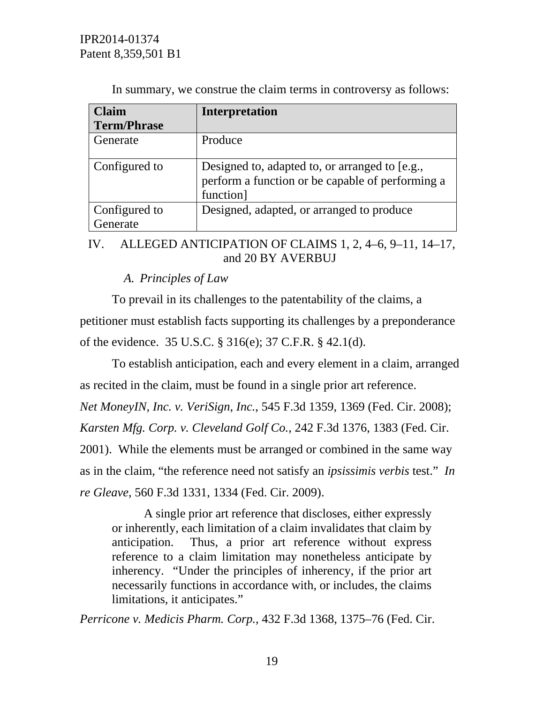| <b>Claim</b>              | <b>Interpretation</b>                                                                                           |
|---------------------------|-----------------------------------------------------------------------------------------------------------------|
| <b>Term/Phrase</b>        |                                                                                                                 |
| Generate                  | Produce                                                                                                         |
| Configured to             | Designed to, adapted to, or arranged to [e.g.,<br>perform a function or be capable of performing a<br>function] |
| Configured to<br>Generate | Designed, adapted, or arranged to produce                                                                       |

In summary, we construe the claim terms in controversy as follows:

# IV. ALLEGED ANTICIPATION OF CLAIMS 1, 2, 4–6, 9–11, 14–17, and 20 BY AVERBUJ

# *A. Principles of Law*

To prevail in its challenges to the patentability of the claims, a petitioner must establish facts supporting its challenges by a preponderance of the evidence. 35 U.S.C. § 316(e); 37 C.F.R. § 42.1(d).

To establish anticipation, each and every element in a claim, arranged as recited in the claim, must be found in a single prior art reference. *Net MoneyIN, Inc. v. VeriSign, Inc.*, 545 F.3d 1359, 1369 (Fed. Cir. 2008); *Karsten Mfg. Corp. v. Cleveland Golf Co.*, 242 F.3d 1376, 1383 (Fed. Cir. 2001). While the elements must be arranged or combined in the same way as in the claim, "the reference need not satisfy an *ipsissimis verbis* test." *In re Gleave*, 560 F.3d 1331, 1334 (Fed. Cir. 2009).

A single prior art reference that discloses, either expressly or inherently, each limitation of a claim invalidates that claim by anticipation. Thus, a prior art reference without express reference to a claim limitation may nonetheless anticipate by inherency. "Under the principles of inherency, if the prior art necessarily functions in accordance with, or includes, the claims limitations, it anticipates."

*Perricone v. Medicis Pharm. Corp.*, 432 F.3d 1368, 1375–76 (Fed. Cir.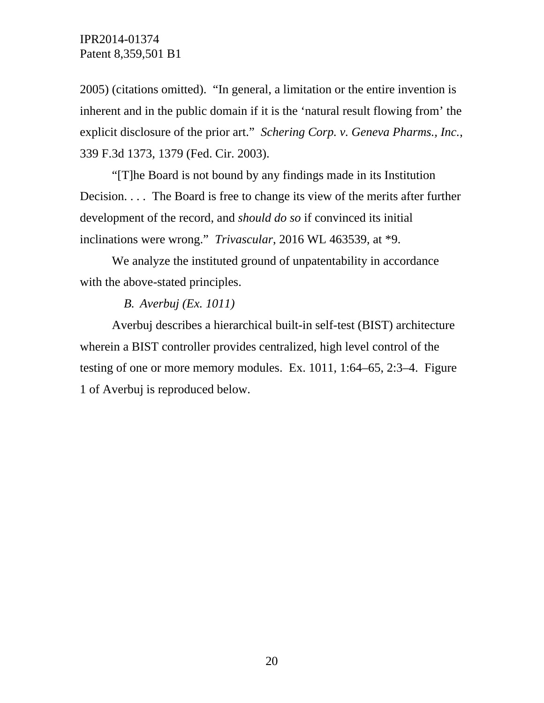2005) (citations omitted). "In general, a limitation or the entire invention is inherent and in the public domain if it is the 'natural result flowing from' the explicit disclosure of the prior art." *Schering Corp. v. Geneva Pharms., Inc.*, 339 F.3d 1373, 1379 (Fed. Cir. 2003).

"[T]he Board is not bound by any findings made in its Institution Decision. . . . The Board is free to change its view of the merits after further development of the record, and *should do so* if convinced its initial inclinations were wrong." *Trivascular*, 2016 WL 463539, at \*9.

We analyze the instituted ground of unpatentability in accordance with the above-stated principles.

#### *B. Averbuj (Ex. 1011)*

Averbuj describes a hierarchical built-in self-test (BIST) architecture wherein a BIST controller provides centralized, high level control of the testing of one or more memory modules. Ex. 1011, 1:64–65, 2:3–4. Figure 1 of Averbuj is reproduced below.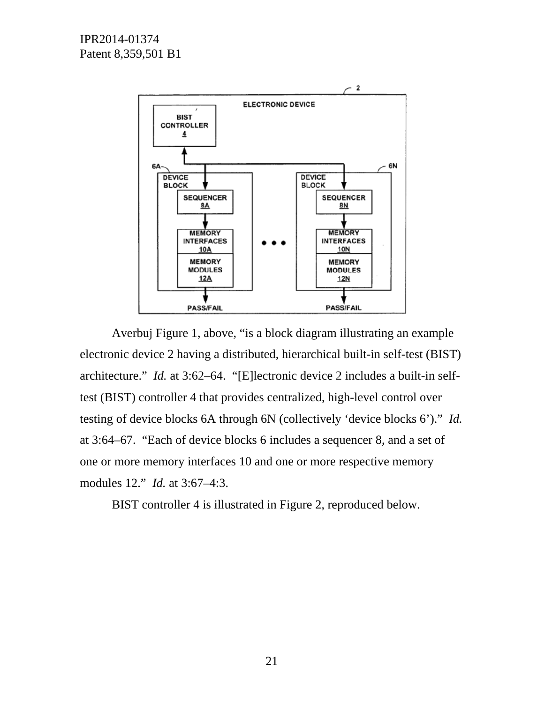

Averbuj Figure 1, above, "is a block diagram illustrating an example electronic device 2 having a distributed, hierarchical built-in self-test (BIST) architecture." *Id.* at 3:62–64. "[E]lectronic device 2 includes a built-in selftest (BIST) controller 4 that provides centralized, high-level control over testing of device blocks 6A through 6N (collectively 'device blocks 6')." *Id.*  at 3:64–67. "Each of device blocks 6 includes a sequencer 8, and a set of one or more memory interfaces 10 and one or more respective memory modules 12." *Id.* at 3:67–4:3.

BIST controller 4 is illustrated in Figure 2, reproduced below.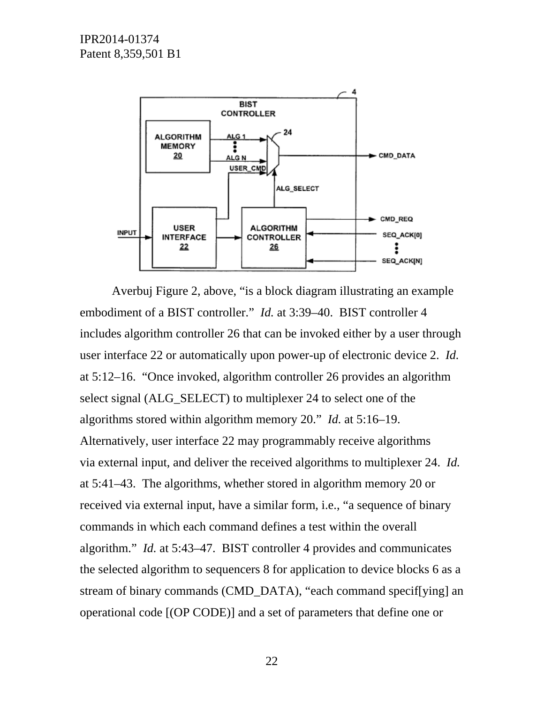

Averbuj Figure 2, above, "is a block diagram illustrating an example embodiment of a BIST controller." *Id.* at 3:39–40. BIST controller 4 includes algorithm controller 26 that can be invoked either by a user through user interface 22 or automatically upon power-up of electronic device 2. *Id.* at 5:12–16. "Once invoked, algorithm controller 26 provides an algorithm select signal (ALG\_SELECT) to multiplexer 24 to select one of the algorithms stored within algorithm memory 20." *Id.* at 5:16–19. Alternatively, user interface 22 may programmably receive algorithms via external input, and deliver the received algorithms to multiplexer 24. *Id.* at 5:41–43. The algorithms, whether stored in algorithm memory 20 or received via external input, have a similar form, i.e., "a sequence of binary commands in which each command defines a test within the overall algorithm." *Id.* at 5:43–47. BIST controller 4 provides and communicates the selected algorithm to sequencers 8 for application to device blocks 6 as a stream of binary commands (CMD\_DATA), "each command specif[ying] an operational code [(OP CODE)] and a set of parameters that define one or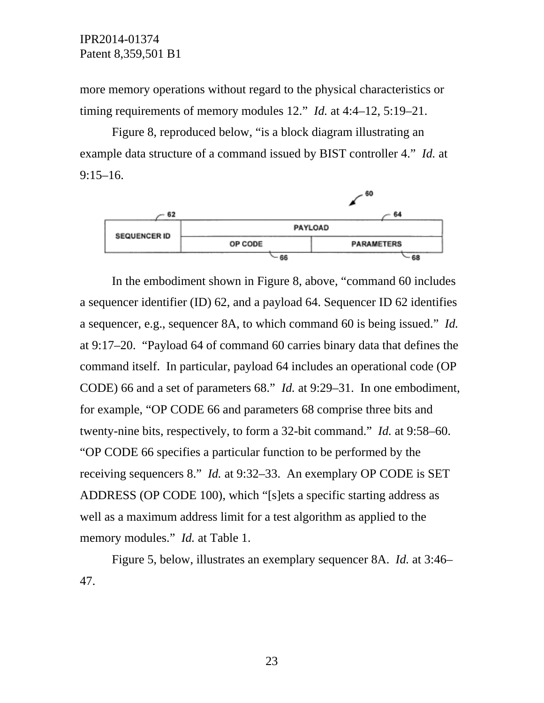more memory operations without regard to the physical characteristics or timing requirements of memory modules 12." *Id.* at 4:4–12, 5:19–21.

 Figure 8, reproduced below, "is a block diagram illustrating an example data structure of a command issued by BIST controller 4." *Id.* at 9:15–16.



In the embodiment shown in Figure 8, above, "command 60 includes a sequencer identifier (ID) 62, and a payload 64. Sequencer ID 62 identifies a sequencer, e.g., sequencer 8A, to which command 60 is being issued." *Id.* at 9:17–20. "Payload 64 of command 60 carries binary data that defines the command itself. In particular, payload 64 includes an operational code (OP CODE) 66 and a set of parameters 68." *Id.* at 9:29–31. In one embodiment, for example, "OP CODE 66 and parameters 68 comprise three bits and twenty-nine bits, respectively, to form a 32-bit command." *Id.* at 9:58–60. "OP CODE 66 specifies a particular function to be performed by the receiving sequencers 8." *Id.* at 9:32–33. An exemplary OP CODE is SET ADDRESS (OP CODE 100), which "[s]ets a specific starting address as well as a maximum address limit for a test algorithm as applied to the memory modules." *Id.* at Table 1.

Figure 5, below, illustrates an exemplary sequencer 8A. *Id.* at 3:46– 47.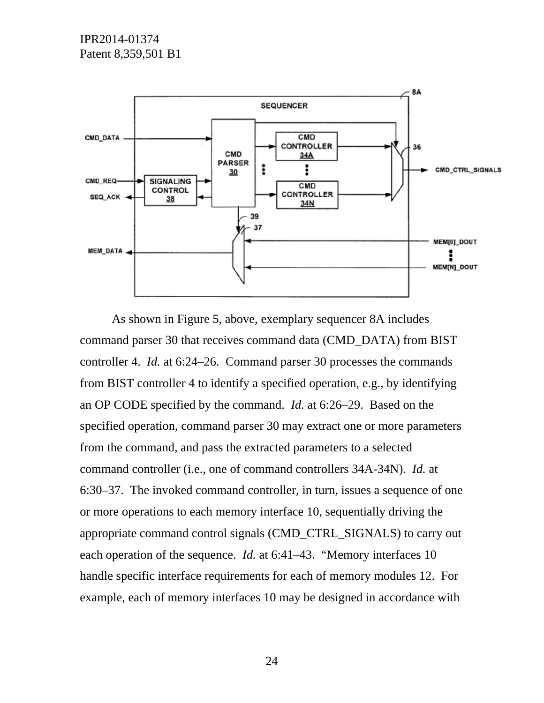

As shown in Figure 5, above, exemplary sequencer 8A includes command parser 30 that receives command data (CMD\_DATA) from BIST controller 4. *Id.* at 6:24–26. Command parser 30 processes the commands from BIST controller 4 to identify a specified operation, e.g., by identifying an OP CODE specified by the command. *Id.* at 6:26–29. Based on the specified operation, command parser 30 may extract one or more parameters from the command, and pass the extracted parameters to a selected command controller (i.e., one of command controllers 34A-34N). *Id.* at 6:30–37. The invoked command controller, in turn, issues a sequence of one or more operations to each memory interface 10, sequentially driving the appropriate command control signals (CMD\_CTRL\_SIGNALS) to carry out each operation of the sequence. *Id.* at 6:41–43. "Memory interfaces 10 handle specific interface requirements for each of memory modules 12. For example, each of memory interfaces 10 may be designed in accordance with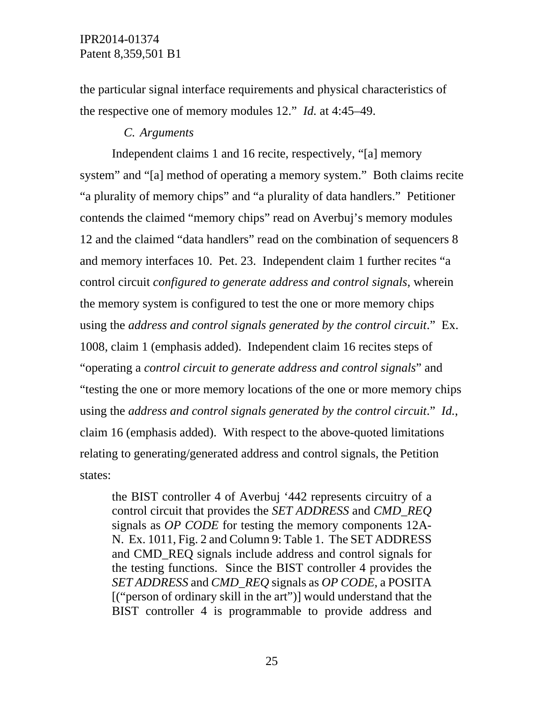the particular signal interface requirements and physical characteristics of the respective one of memory modules 12." *Id.* at 4:45–49.

# *C. Arguments*

Independent claims 1 and 16 recite, respectively, "[a] memory system" and "[a] method of operating a memory system." Both claims recite "a plurality of memory chips" and "a plurality of data handlers." Petitioner contends the claimed "memory chips" read on Averbuj's memory modules 12 and the claimed "data handlers" read on the combination of sequencers 8 and memory interfaces 10. Pet. 23. Independent claim 1 further recites "a control circuit *configured to generate address and control signals*, wherein the memory system is configured to test the one or more memory chips using the *address and control signals generated by the control circuit*." Ex. 1008, claim 1 (emphasis added). Independent claim 16 recites steps of "operating a *control circuit to generate address and control signals*" and "testing the one or more memory locations of the one or more memory chips using the *address and control signals generated by the control circuit*." *Id.*, claim 16 (emphasis added). With respect to the above-quoted limitations relating to generating/generated address and control signals, the Petition states:

the BIST controller 4 of Averbuj '442 represents circuitry of a control circuit that provides the *SET ADDRESS* and *CMD\_REQ*  signals as *OP CODE* for testing the memory components 12A-N. Ex. 1011, Fig. 2 and Column 9: Table 1. The SET ADDRESS and CMD\_REQ signals include address and control signals for the testing functions. Since the BIST controller 4 provides the *SET ADDRESS* and *CMD\_REQ* signals as *OP CODE*, a POSITA [("person of ordinary skill in the art")] would understand that the BIST controller 4 is programmable to provide address and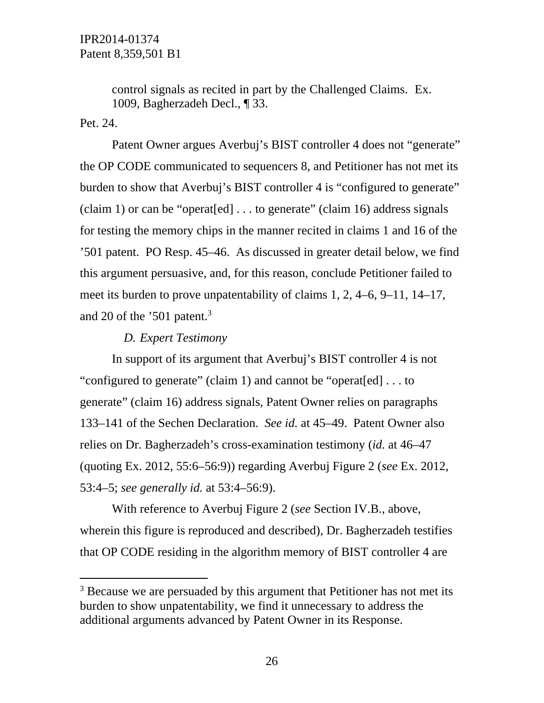control signals as recited in part by the Challenged Claims. Ex. 1009, Bagherzadeh Decl., ¶ 33.

Pet. 24.

 $\overline{a}$ 

 Patent Owner argues Averbuj's BIST controller 4 does not "generate" the OP CODE communicated to sequencers 8, and Petitioner has not met its burden to show that Averbuj's BIST controller 4 is "configured to generate" (claim 1) or can be "operat [ed]  $\dots$  to generate" (claim 16) address signals for testing the memory chips in the manner recited in claims 1 and 16 of the '501 patent. PO Resp. 45–46. As discussed in greater detail below, we find this argument persuasive, and, for this reason, conclude Petitioner failed to meet its burden to prove unpatentability of claims 1, 2, 4–6, 9–11, 14–17, and 20 of the '501 patent.<sup>3</sup>

#### *D. Expert Testimony*

In support of its argument that Averbuj's BIST controller 4 is not "configured to generate" (claim 1) and cannot be "operat[ed] . . . to generate" (claim 16) address signals, Patent Owner relies on paragraphs 133–141 of the Sechen Declaration. *See id.* at 45–49. Patent Owner also relies on Dr. Bagherzadeh's cross-examination testimony (*id.* at 46–47 (quoting Ex. 2012, 55:6–56:9)) regarding Averbuj Figure 2 (*see* Ex. 2012, 53:4–5; *see generally id.* at 53:4–56:9).

With reference to Averbuj Figure 2 (*see* Section IV.B., above, wherein this figure is reproduced and described), Dr. Bagherzadeh testifies that OP CODE residing in the algorithm memory of BIST controller 4 are

<sup>&</sup>lt;sup>3</sup> Because we are persuaded by this argument that Petitioner has not met its burden to show unpatentability, we find it unnecessary to address the additional arguments advanced by Patent Owner in its Response.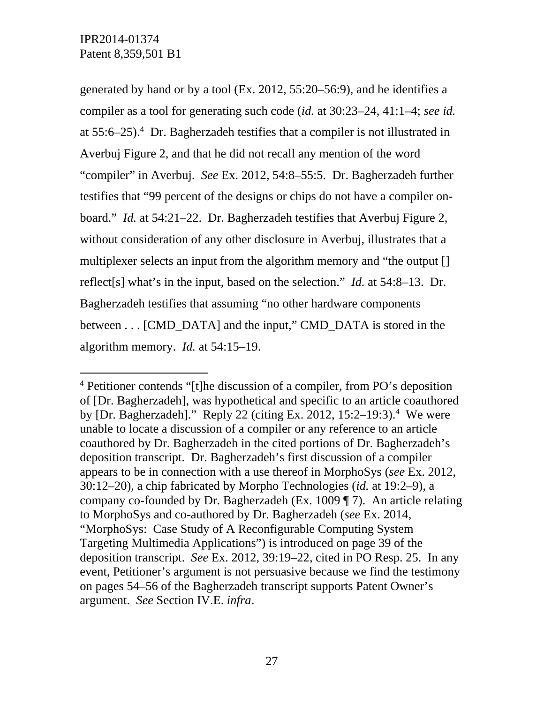-

generated by hand or by a tool (Ex. 2012, 55:20–56:9), and he identifies a compiler as a tool for generating such code (*id.* at 30:23–24, 41:1–4; *see id.* at 55:6–25).4 Dr. Bagherzadeh testifies that a compiler is not illustrated in Averbuj Figure 2, and that he did not recall any mention of the word "compiler" in Averbuj. *See* Ex. 2012, 54:8–55:5. Dr. Bagherzadeh further testifies that "99 percent of the designs or chips do not have a compiler onboard." *Id.* at 54:21–22. Dr. Bagherzadeh testifies that Averbuj Figure 2, without consideration of any other disclosure in Averbuj, illustrates that a multiplexer selects an input from the algorithm memory and "the output [] reflect[s] what's in the input, based on the selection." *Id.* at 54:8–13. Dr. Bagherzadeh testifies that assuming "no other hardware components between . . . [CMD\_DATA] and the input," CMD\_DATA is stored in the algorithm memory. *Id.* at 54:15–19.

<sup>4</sup> Petitioner contends "[t]he discussion of a compiler, from PO's deposition of [Dr. Bagherzadeh], was hypothetical and specific to an article coauthored by [Dr. Bagherzadeh]." Reply 22 (citing Ex. 2012, 15:2–19:3).<sup>4</sup> We were unable to locate a discussion of a compiler or any reference to an article coauthored by Dr. Bagherzadeh in the cited portions of Dr. Bagherzadeh's deposition transcript. Dr. Bagherzadeh's first discussion of a compiler appears to be in connection with a use thereof in MorphoSys (*see* Ex. 2012, 30:12–20), a chip fabricated by Morpho Technologies (*id.* at 19:2–9), a company co-founded by Dr. Bagherzadeh (Ex. 1009 ¶ 7). An article relating to MorphoSys and co-authored by Dr. Bagherzadeh (*see* Ex. 2014, "MorphoSys: Case Study of A Reconfigurable Computing System Targeting Multimedia Applications") is introduced on page 39 of the deposition transcript. *See* Ex. 2012, 39:19–22, cited in PO Resp. 25. In any event, Petitioner's argument is not persuasive because we find the testimony on pages 54–56 of the Bagherzadeh transcript supports Patent Owner's argument. *See* Section IV.E. *infra*.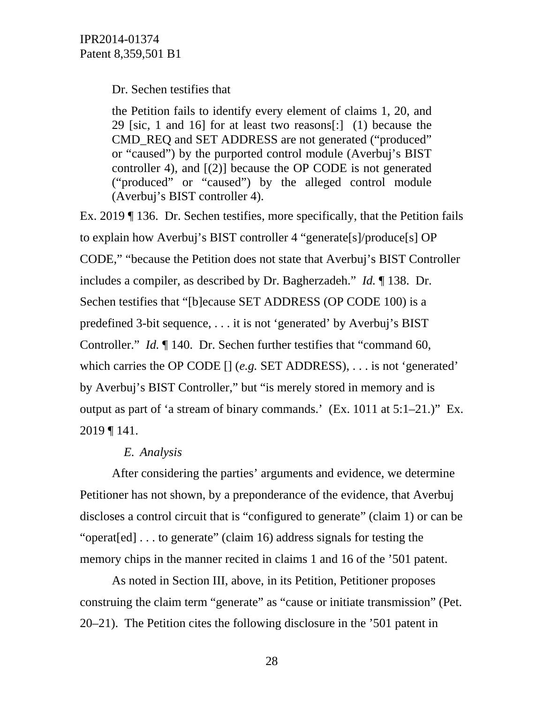Dr. Sechen testifies that

the Petition fails to identify every element of claims 1, 20, and 29 [sic, 1 and 16] for at least two reasons[:] (1) because the CMD\_REQ and SET ADDRESS are not generated ("produced" or "caused") by the purported control module (Averbuj's BIST controller 4), and [(2)] because the OP CODE is not generated ("produced" or "caused") by the alleged control module (Averbuj's BIST controller 4).

Ex. 2019 ¶ 136. Dr. Sechen testifies, more specifically, that the Petition fails to explain how Averbuj's BIST controller 4 "generate[s]/produce[s] OP CODE," "because the Petition does not state that Averbuj's BIST Controller includes a compiler, as described by Dr. Bagherzadeh." *Id.* ¶ 138. Dr. Sechen testifies that "[b]ecause SET ADDRESS (OP CODE 100) is a predefined 3-bit sequence, . . . it is not 'generated' by Averbuj's BIST Controller." *Id.* ¶ 140. Dr. Sechen further testifies that "command 60, which carries the OP CODE [] (*e.g.* SET ADDRESS), . . . is not 'generated' by Averbuj's BIST Controller," but "is merely stored in memory and is output as part of 'a stream of binary commands.' (Ex. 1011 at 5:1–21.)" Ex. 2019 ¶ 141.

# *E. Analysis*

 After considering the parties' arguments and evidence, we determine Petitioner has not shown, by a preponderance of the evidence, that Averbuj discloses a control circuit that is "configured to generate" (claim 1) or can be "operat[ed] . . . to generate" (claim 16) address signals for testing the memory chips in the manner recited in claims 1 and 16 of the '501 patent.

 As noted in Section III, above, in its Petition, Petitioner proposes construing the claim term "generate" as "cause or initiate transmission" (Pet. 20–21). The Petition cites the following disclosure in the '501 patent in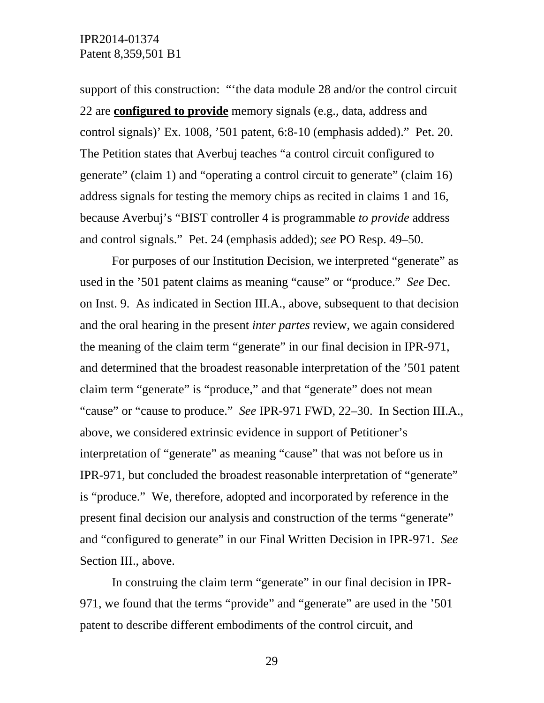support of this construction: "'the data module 28 and/or the control circuit 22 are **configured to provide** memory signals (e.g., data, address and control signals)' Ex. 1008, '501 patent, 6:8-10 (emphasis added)." Pet. 20. The Petition states that Averbuj teaches "a control circuit configured to generate" (claim 1) and "operating a control circuit to generate" (claim 16) address signals for testing the memory chips as recited in claims 1 and 16, because Averbuj's "BIST controller 4 is programmable *to provide* address and control signals." Pet. 24 (emphasis added); *see* PO Resp. 49–50.

 For purposes of our Institution Decision, we interpreted "generate" as used in the '501 patent claims as meaning "cause" or "produce." *See* Dec. on Inst. 9. As indicated in Section III.A., above, subsequent to that decision and the oral hearing in the present *inter partes* review, we again considered the meaning of the claim term "generate" in our final decision in IPR-971, and determined that the broadest reasonable interpretation of the '501 patent claim term "generate" is "produce," and that "generate" does not mean "cause" or "cause to produce." *See* IPR-971 FWD, 22–30. In Section III.A., above, we considered extrinsic evidence in support of Petitioner's interpretation of "generate" as meaning "cause" that was not before us in IPR-971, but concluded the broadest reasonable interpretation of "generate" is "produce." We, therefore, adopted and incorporated by reference in the present final decision our analysis and construction of the terms "generate" and "configured to generate" in our Final Written Decision in IPR-971. *See*  Section III., above.

In construing the claim term "generate" in our final decision in IPR-971, we found that the terms "provide" and "generate" are used in the '501 patent to describe different embodiments of the control circuit, and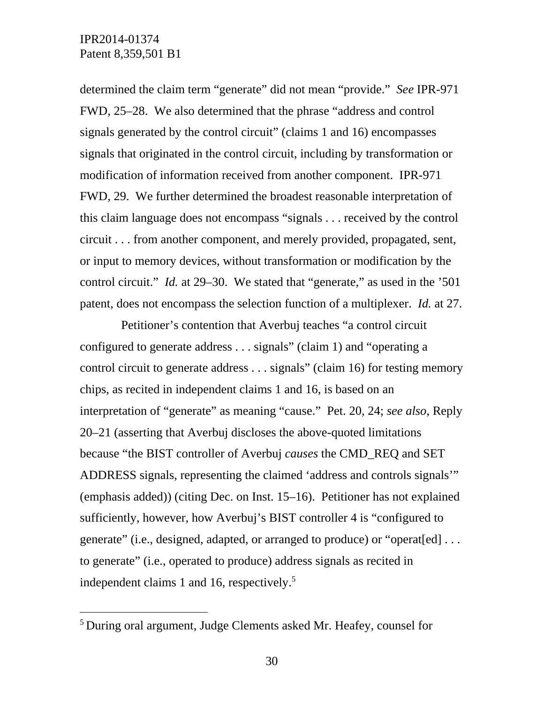-

determined the claim term "generate" did not mean "provide." *See* IPR-971 FWD, 25–28. We also determined that the phrase "address and control signals generated by the control circuit" (claims 1 and 16) encompasses signals that originated in the control circuit, including by transformation or modification of information received from another component. IPR-971 FWD, 29. We further determined the broadest reasonable interpretation of this claim language does not encompass "signals . . . received by the control circuit . . . from another component, and merely provided, propagated, sent, or input to memory devices, without transformation or modification by the control circuit." *Id.* at 29–30. We stated that "generate," as used in the '501 patent, does not encompass the selection function of a multiplexer. *Id.* at 27.

 Petitioner's contention that Averbuj teaches "a control circuit configured to generate address . . . signals" (claim 1) and "operating a control circuit to generate address . . . signals" (claim 16) for testing memory chips, as recited in independent claims 1 and 16, is based on an interpretation of "generate" as meaning "cause." Pet. 20, 24; *see also*, Reply 20–21 (asserting that Averbuj discloses the above-quoted limitations because "the BIST controller of Averbuj *causes* the CMD\_REQ and SET ADDRESS signals, representing the claimed 'address and controls signals'" (emphasis added)) (citing Dec. on Inst. 15–16). Petitioner has not explained sufficiently, however, how Averbuj's BIST controller 4 is "configured to generate" (i.e., designed, adapted, or arranged to produce) or "operat[ed] . . . to generate" (i.e., operated to produce) address signals as recited in independent claims 1 and 16, respectively.<sup>5</sup>

<sup>5</sup> During oral argument, Judge Clements asked Mr. Heafey, counsel for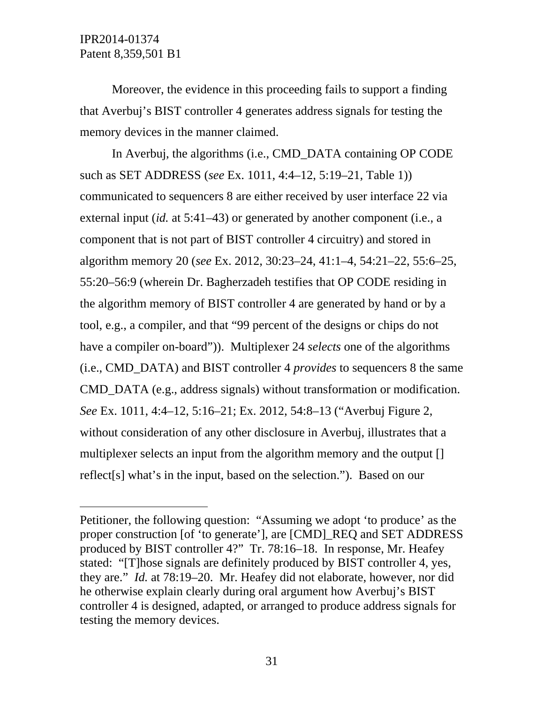-

Moreover, the evidence in this proceeding fails to support a finding that Averbuj's BIST controller 4 generates address signals for testing the memory devices in the manner claimed.

In Averbuj, the algorithms (i.e., CMD\_DATA containing OP CODE such as SET ADDRESS (*see* Ex. 1011, 4:4–12, 5:19–21, Table 1)) communicated to sequencers 8 are either received by user interface 22 via external input (*id.* at 5:41–43) or generated by another component (i.e., a component that is not part of BIST controller 4 circuitry) and stored in algorithm memory 20 (*see* Ex. 2012, 30:23–24, 41:1–4, 54:21–22, 55:6–25, 55:20–56:9 (wherein Dr. Bagherzadeh testifies that OP CODE residing in the algorithm memory of BIST controller 4 are generated by hand or by a tool, e.g., a compiler, and that "99 percent of the designs or chips do not have a compiler on-board")). Multiplexer 24 *selects* one of the algorithms (i.e., CMD\_DATA) and BIST controller 4 *provides* to sequencers 8 the same CMD\_DATA (e.g., address signals) without transformation or modification. *See* Ex. 1011, 4:4–12, 5:16–21; Ex. 2012, 54:8–13 ("Averbuj Figure 2, without consideration of any other disclosure in Averbuj, illustrates that a multiplexer selects an input from the algorithm memory and the output [] reflect[s] what's in the input, based on the selection."). Based on our

Petitioner, the following question: "Assuming we adopt 'to produce' as the proper construction [of 'to generate'], are [CMD]\_REQ and SET ADDRESS produced by BIST controller 4?" Tr. 78:16–18. In response, Mr. Heafey stated: "[T]hose signals are definitely produced by BIST controller 4, yes, they are." *Id.* at 78:19–20. Mr. Heafey did not elaborate, however, nor did he otherwise explain clearly during oral argument how Averbuj's BIST controller 4 is designed, adapted, or arranged to produce address signals for testing the memory devices.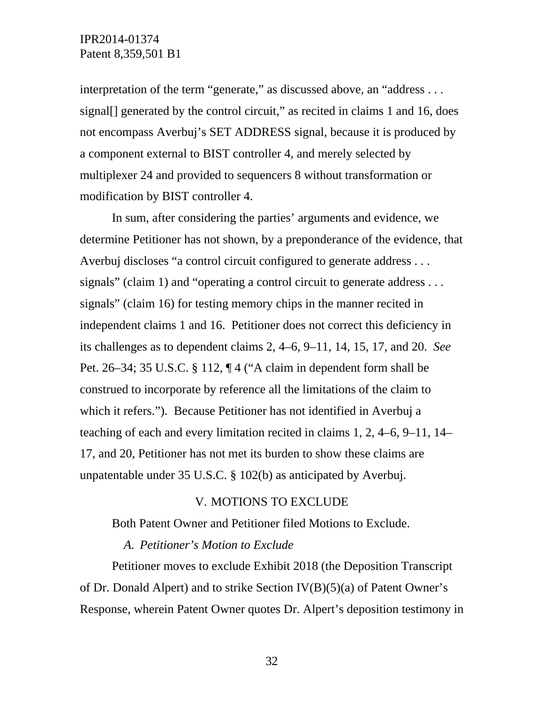interpretation of the term "generate," as discussed above, an "address . . . signal[] generated by the control circuit," as recited in claims 1 and 16, does not encompass Averbuj's SET ADDRESS signal, because it is produced by a component external to BIST controller 4, and merely selected by multiplexer 24 and provided to sequencers 8 without transformation or modification by BIST controller 4.

In sum, after considering the parties' arguments and evidence, we determine Petitioner has not shown, by a preponderance of the evidence, that Averbuj discloses "a control circuit configured to generate address . . . signals" (claim 1) and "operating a control circuit to generate address... signals" (claim 16) for testing memory chips in the manner recited in independent claims 1 and 16. Petitioner does not correct this deficiency in its challenges as to dependent claims 2, 4–6, 9–11, 14, 15, 17, and 20. *See*  Pet. 26–34; 35 U.S.C. § 112, ¶ 4 ("A claim in dependent form shall be construed to incorporate by reference all the limitations of the claim to which it refers."). Because Petitioner has not identified in Averbuj a teaching of each and every limitation recited in claims 1, 2, 4–6, 9–11, 14– 17, and 20, Petitioner has not met its burden to show these claims are unpatentable under 35 U.S.C. § 102(b) as anticipated by Averbuj.

#### V. MOTIONS TO EXCLUDE

Both Patent Owner and Petitioner filed Motions to Exclude.

#### *A. Petitioner's Motion to Exclude*

Petitioner moves to exclude Exhibit 2018 (the Deposition Transcript of Dr. Donald Alpert) and to strike Section IV(B)(5)(a) of Patent Owner's Response, wherein Patent Owner quotes Dr. Alpert's deposition testimony in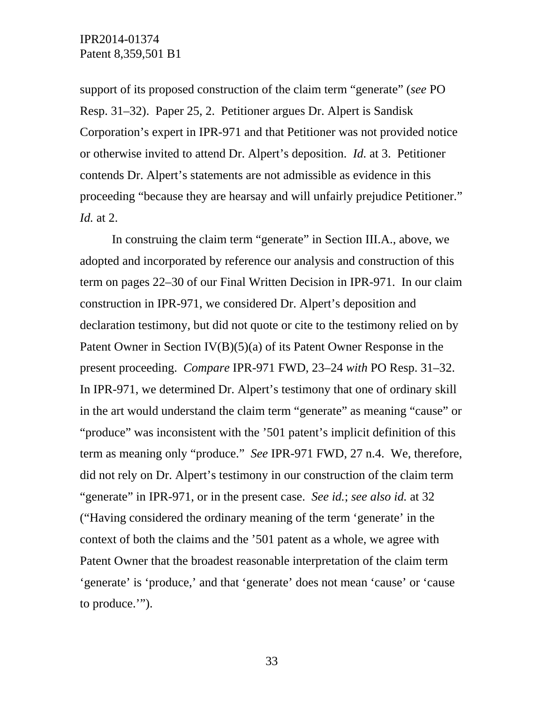support of its proposed construction of the claim term "generate" (*see* PO Resp. 31–32). Paper 25, 2. Petitioner argues Dr. Alpert is Sandisk Corporation's expert in IPR-971 and that Petitioner was not provided notice or otherwise invited to attend Dr. Alpert's deposition. *Id.* at 3. Petitioner contends Dr. Alpert's statements are not admissible as evidence in this proceeding "because they are hearsay and will unfairly prejudice Petitioner." *Id.* at 2.

In construing the claim term "generate" in Section III.A., above, we adopted and incorporated by reference our analysis and construction of this term on pages 22–30 of our Final Written Decision in IPR-971. In our claim construction in IPR-971, we considered Dr. Alpert's deposition and declaration testimony, but did not quote or cite to the testimony relied on by Patent Owner in Section IV(B)(5)(a) of its Patent Owner Response in the present proceeding. *Compare* IPR-971 FWD, 23–24 *with* PO Resp. 31–32. In IPR-971, we determined Dr. Alpert's testimony that one of ordinary skill in the art would understand the claim term "generate" as meaning "cause" or "produce" was inconsistent with the '501 patent's implicit definition of this term as meaning only "produce." *See* IPR-971 FWD, 27 n.4. We, therefore, did not rely on Dr. Alpert's testimony in our construction of the claim term "generate" in IPR-971, or in the present case. *See id.*; *see also id.* at 32 ("Having considered the ordinary meaning of the term 'generate' in the context of both the claims and the '501 patent as a whole, we agree with Patent Owner that the broadest reasonable interpretation of the claim term 'generate' is 'produce,' and that 'generate' does not mean 'cause' or 'cause to produce.'").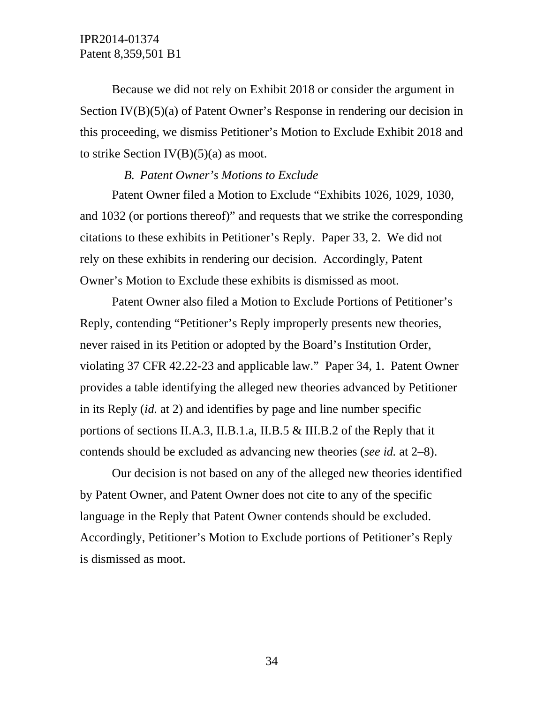Because we did not rely on Exhibit 2018 or consider the argument in Section IV(B)(5)(a) of Patent Owner's Response in rendering our decision in this proceeding, we dismiss Petitioner's Motion to Exclude Exhibit 2018 and to strike Section  $IV(B)(5)(a)$  as moot.

#### *B. Patent Owner's Motions to Exclude*

Patent Owner filed a Motion to Exclude "Exhibits 1026, 1029, 1030, and 1032 (or portions thereof)" and requests that we strike the corresponding citations to these exhibits in Petitioner's Reply. Paper 33, 2. We did not rely on these exhibits in rendering our decision. Accordingly, Patent Owner's Motion to Exclude these exhibits is dismissed as moot.

Patent Owner also filed a Motion to Exclude Portions of Petitioner's Reply, contending "Petitioner's Reply improperly presents new theories, never raised in its Petition or adopted by the Board's Institution Order, violating 37 CFR 42.22-23 and applicable law." Paper 34, 1. Patent Owner provides a table identifying the alleged new theories advanced by Petitioner in its Reply (*id.* at 2) and identifies by page and line number specific portions of sections II.A.3, II.B.1.a, II.B.5 & III.B.2 of the Reply that it contends should be excluded as advancing new theories (*see id.* at 2–8).

Our decision is not based on any of the alleged new theories identified by Patent Owner, and Patent Owner does not cite to any of the specific language in the Reply that Patent Owner contends should be excluded. Accordingly, Petitioner's Motion to Exclude portions of Petitioner's Reply is dismissed as moot.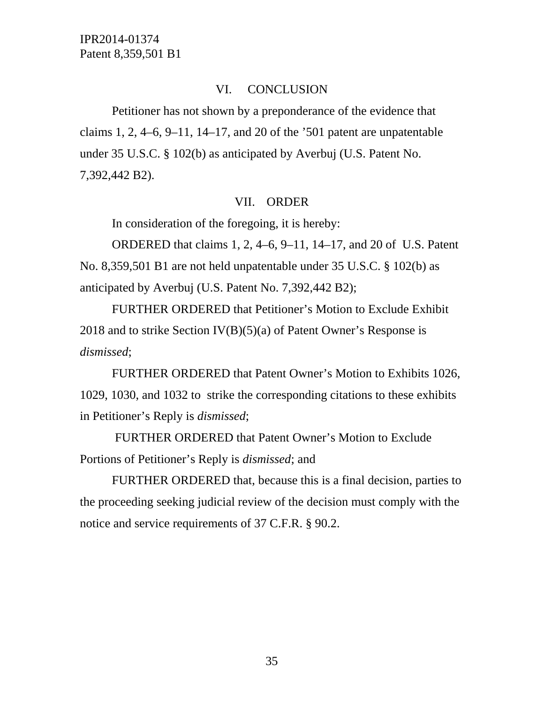# VI. CONCLUSION

Petitioner has not shown by a preponderance of the evidence that claims 1, 2,  $4-6$ ,  $9-11$ ,  $14-17$ , and 20 of the '501 patent are unpatentable under 35 U.S.C. § 102(b) as anticipated by Averbuj (U.S. Patent No. 7,392,442 B2).

# VII. ORDER

In consideration of the foregoing, it is hereby:

ORDERED that claims 1, 2, 4–6, 9–11, 14–17, and 20 of U.S. Patent No. 8,359,501 B1 are not held unpatentable under 35 U.S.C. § 102(b) as anticipated by Averbuj (U.S. Patent No. 7,392,442 B2);

FURTHER ORDERED that Petitioner's Motion to Exclude Exhibit 2018 and to strike Section  $IV(B)(5)(a)$  of Patent Owner's Response is *dismissed*;

FURTHER ORDERED that Patent Owner's Motion to Exhibits 1026, 1029, 1030, and 1032 to strike the corresponding citations to these exhibits in Petitioner's Reply is *dismissed*;

 FURTHER ORDERED that Patent Owner's Motion to Exclude Portions of Petitioner's Reply is *dismissed*; and

FURTHER ORDERED that, because this is a final decision, parties to the proceeding seeking judicial review of the decision must comply with the notice and service requirements of 37 C.F.R. § 90.2.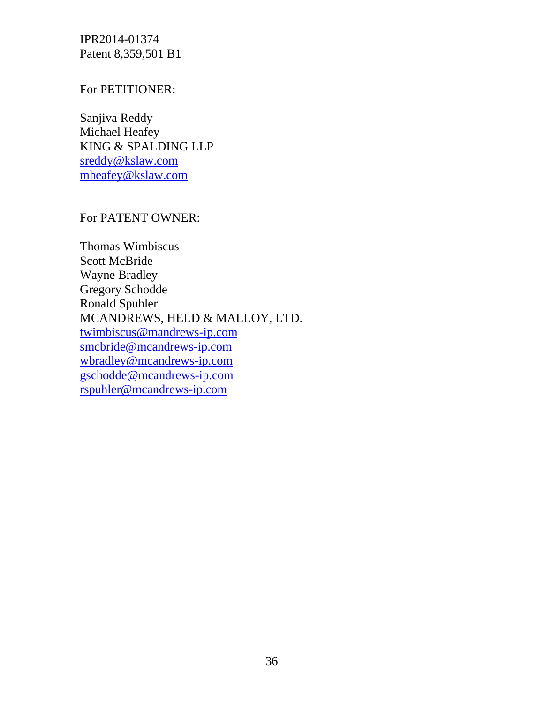# For PETITIONER:

Sanjiva Reddy Michael Heafey KING & SPALDING LLP sreddy@kslaw.com mheafey@kslaw.com

# For PATENT OWNER:

Thomas Wimbiscus Scott McBride Wayne Bradley Gregory Schodde Ronald Spuhler MCANDREWS, HELD & MALLOY, LTD. twimbiscus@mandrews-ip.com smcbride@mcandrews-ip.com wbradley@mcandrews-ip.com gschodde@mcandrews-ip.com rspuhler@mcandrews-ip.com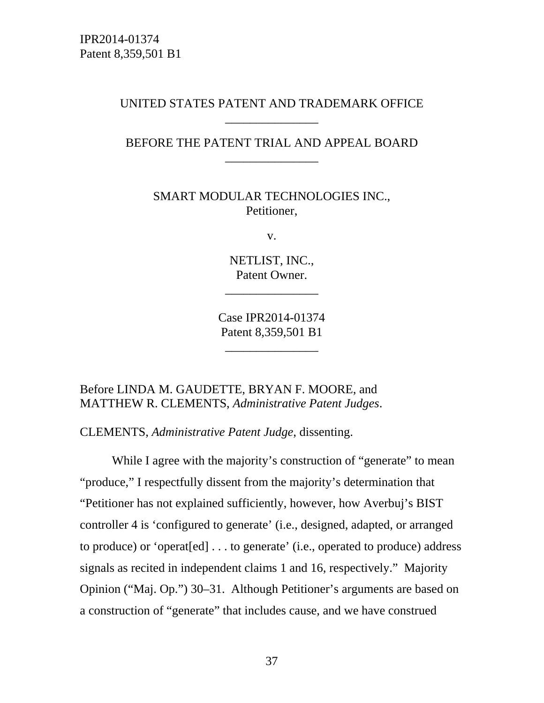# UNITED STATES PATENT AND TRADEMARK OFFICE \_\_\_\_\_\_\_\_\_\_\_\_\_\_\_

# BEFORE THE PATENT TRIAL AND APPEAL BOARD \_\_\_\_\_\_\_\_\_\_\_\_\_\_\_

SMART MODULAR TECHNOLOGIES INC., Petitioner,

v.

NETLIST, INC., Patent Owner.

\_\_\_\_\_\_\_\_\_\_\_\_\_\_\_

Case IPR2014-01374 Patent 8,359,501 B1

\_\_\_\_\_\_\_\_\_\_\_\_\_\_\_

#### Before LINDA M. GAUDETTE, BRYAN F. MOORE, and MATTHEW R. CLEMENTS, *Administrative Patent Judges*.

CLEMENTS, *Administrative Patent Judge*, dissenting.

While I agree with the majority's construction of "generate" to mean "produce," I respectfully dissent from the majority's determination that "Petitioner has not explained sufficiently, however, how Averbuj's BIST controller 4 is 'configured to generate' (i.e., designed, adapted, or arranged to produce) or 'operat[ed] . . . to generate' (i.e., operated to produce) address signals as recited in independent claims 1 and 16, respectively." Majority Opinion ("Maj. Op.") 30–31. Although Petitioner's arguments are based on a construction of "generate" that includes cause, and we have construed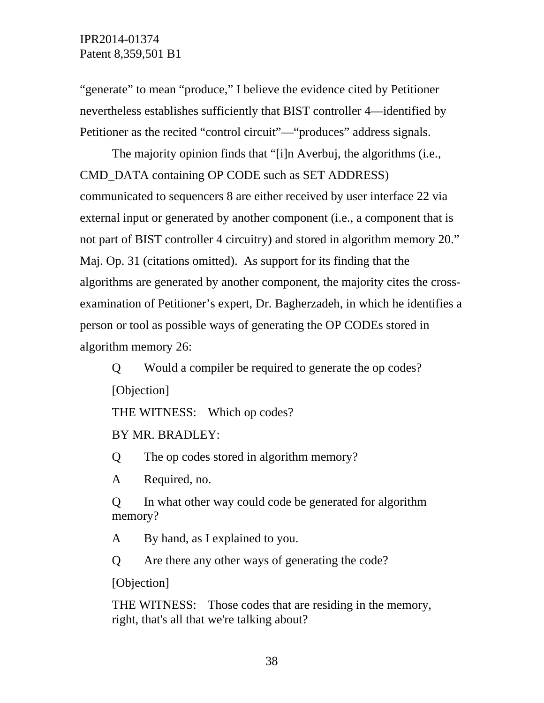"generate" to mean "produce," I believe the evidence cited by Petitioner nevertheless establishes sufficiently that BIST controller 4—identified by Petitioner as the recited "control circuit"—"produces" address signals.

The majority opinion finds that "[i]n Averbuj, the algorithms (i.e., CMD\_DATA containing OP CODE such as SET ADDRESS) communicated to sequencers 8 are either received by user interface 22 via external input or generated by another component (i.e., a component that is not part of BIST controller 4 circuitry) and stored in algorithm memory 20." Maj. Op. 31 (citations omitted). As support for its finding that the algorithms are generated by another component, the majority cites the crossexamination of Petitioner's expert, Dr. Bagherzadeh, in which he identifies a person or tool as possible ways of generating the OP CODEs stored in algorithm memory 26:

Q Would a compiler be required to generate the op codes? [Objection]

THE WITNESS: Which op codes?

BY MR. BRADLEY:

Q The op codes stored in algorithm memory?

A Required, no.

Q In what other way could code be generated for algorithm memory?

A By hand, as I explained to you.

Q Are there any other ways of generating the code?

[Objection]

THE WITNESS: Those codes that are residing in the memory, right, that's all that we're talking about?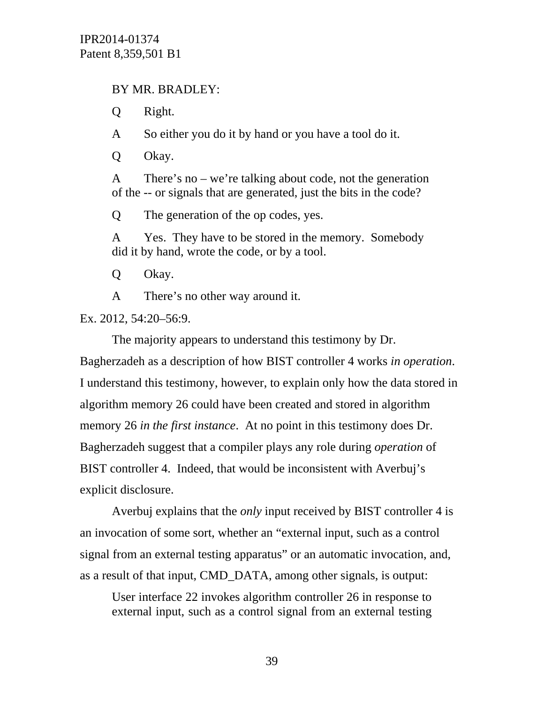# BY MR. BRADLEY:

Q Right.

A So either you do it by hand or you have a tool do it.

Q Okay.

A There's no – we're talking about code, not the generation of the -- or signals that are generated, just the bits in the code?

Q The generation of the op codes, yes.

A Yes. They have to be stored in the memory. Somebody did it by hand, wrote the code, or by a tool.

Q Okay.

A There's no other way around it.

Ex. 2012, 54:20–56:9.

The majority appears to understand this testimony by Dr. Bagherzadeh as a description of how BIST controller 4 works *in operation*. I understand this testimony, however, to explain only how the data stored in algorithm memory 26 could have been created and stored in algorithm memory 26 *in the first instance*. At no point in this testimony does Dr. Bagherzadeh suggest that a compiler plays any role during *operation* of BIST controller 4. Indeed, that would be inconsistent with Averbuj's explicit disclosure.

Averbuj explains that the *only* input received by BIST controller 4 is an invocation of some sort, whether an "external input, such as a control signal from an external testing apparatus" or an automatic invocation, and, as a result of that input, CMD\_DATA, among other signals, is output:

User interface 22 invokes algorithm controller 26 in response to external input, such as a control signal from an external testing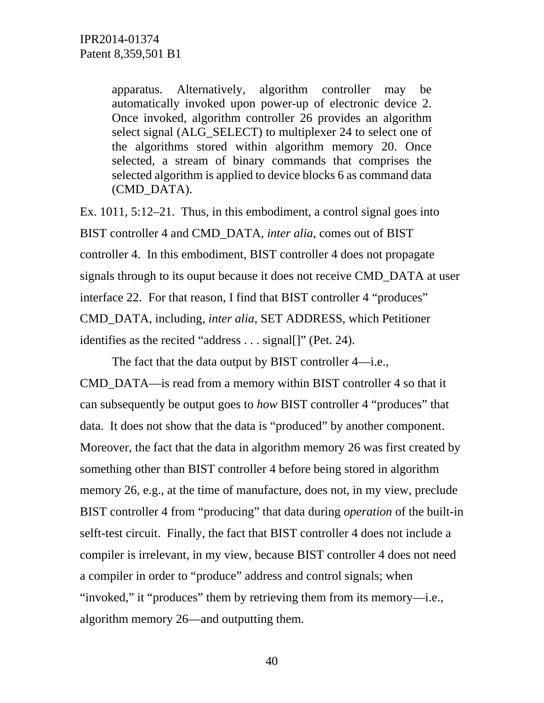apparatus. Alternatively, algorithm controller may be automatically invoked upon power-up of electronic device 2. Once invoked, algorithm controller 26 provides an algorithm select signal (ALG\_SELECT) to multiplexer 24 to select one of the algorithms stored within algorithm memory 20. Once selected, a stream of binary commands that comprises the selected algorithm is applied to device blocks 6 as command data (CMD\_DATA).

Ex. 1011, 5:12–21. Thus, in this embodiment, a control signal goes into BIST controller 4 and CMD\_DATA, *inter alia*, comes out of BIST controller 4. In this embodiment, BIST controller 4 does not propagate signals through to its ouput because it does not receive CMD\_DATA at user interface 22. For that reason, I find that BIST controller 4 "produces" CMD\_DATA, including, *inter alia*, SET ADDRESS, which Petitioner identifies as the recited "address . . . signal[]" (Pet. 24).

The fact that the data output by BIST controller 4—i.e.,

CMD\_DATA—is read from a memory within BIST controller 4 so that it can subsequently be output goes to *how* BIST controller 4 "produces" that data. It does not show that the data is "produced" by another component. Moreover, the fact that the data in algorithm memory 26 was first created by something other than BIST controller 4 before being stored in algorithm memory 26, e.g., at the time of manufacture, does not, in my view, preclude BIST controller 4 from "producing" that data during *operation* of the built-in selft-test circuit. Finally, the fact that BIST controller 4 does not include a compiler is irrelevant, in my view, because BIST controller 4 does not need a compiler in order to "produce" address and control signals; when "invoked," it "produces" them by retrieving them from its memory—i.e., algorithm memory 26—and outputting them.